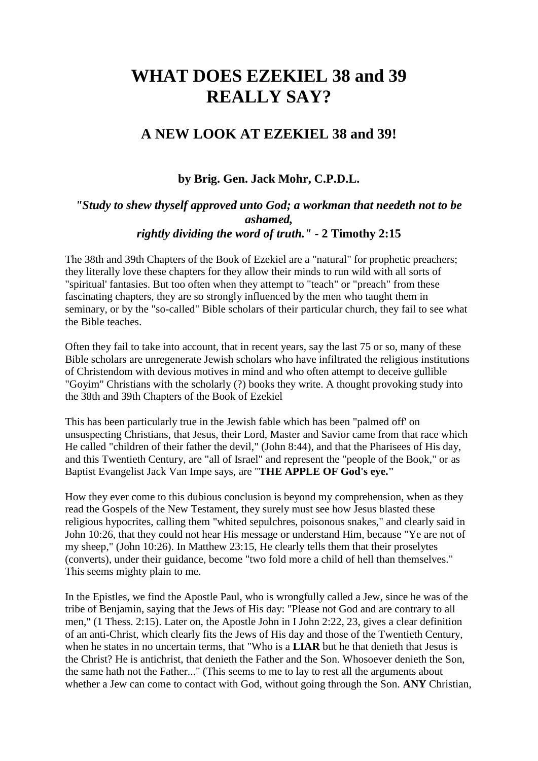# **WHAT DOES EZEKIEL 38 and 39 REALLY SAY?**

# **A NEW LOOK AT EZEKIEL 38 and 39!**

**by Brig. Gen. Jack Mohr, C.P.D.L.**

## *"Study to shew thyself approved unto God; a workman that needeth not to be ashamed, rightly dividing the word of truth." -* **2 Timothy 2:15**

The 38th and 39th Chapters of the Book of Ezekiel are a "natural" for prophetic preachers; they literally love these chapters for they allow their minds to run wild with all sorts of "spiritual' fantasies. But too often when they attempt to "teach" or "preach" from these fascinating chapters, they are so strongly influenced by the men who taught them in seminary, or by the "so-called" Bible scholars of their particular church, they fail to see what the Bible teaches.

Often they fail to take into account, that in recent years, say the last 75 or so, many of these Bible scholars are unregenerate Jewish scholars who have infiltrated the religious institutions of Christendom with devious motives in mind and who often attempt to deceive gullible "Goyim" Christians with the scholarly (?) books they write. A thought provoking study into the 38th and 39th Chapters of the Book of Ezekiel

This has been particularly true in the Jewish fable which has been "palmed off' on unsuspecting Christians, that Jesus, their Lord, Master and Savior came from that race which He called "children of their father the devil," (John 8:44), and that the Pharisees of His day, and this Twentieth Century, are "all of Israel" and represent the "people of the Book," or as Baptist Evangelist Jack Van Impe says, are "**THE APPLE OF God's eye."**

How they ever come to this dubious conclusion is beyond my comprehension, when as they read the Gospels of the New Testament, they surely must see how Jesus blasted these religious hypocrites, calling them "whited sepulchres, poisonous snakes," and clearly said in John 10:26, that they could not hear His message or understand Him, because "Ye are not of my sheep," (John 10:26). In Matthew 23:15, He clearly tells them that their proselytes (converts), under their guidance, become "two fold more a child of hell than themselves." This seems mighty plain to me.

In the Epistles, we find the Apostle Paul, who is wrongfully called a Jew, since he was of the tribe of Benjamin, saying that the Jews of His day: "Please not God and are contrary to all men," (1 Thess. 2:15). Later on, the Apostle John in I John 2:22, 23, gives a clear definition of an anti-Christ, which clearly fits the Jews of His day and those of the Twentieth Century, when he states in no uncertain terms, that "Who is a **LIAR** but he that denieth that Jesus is the Christ? He is antichrist, that denieth the Father and the Son. Whosoever denieth the Son, the same hath not the Father..." (This seems to me to lay to rest all the arguments about whether a Jew can come to contact with God, without going through the Son. **ANY** Christian,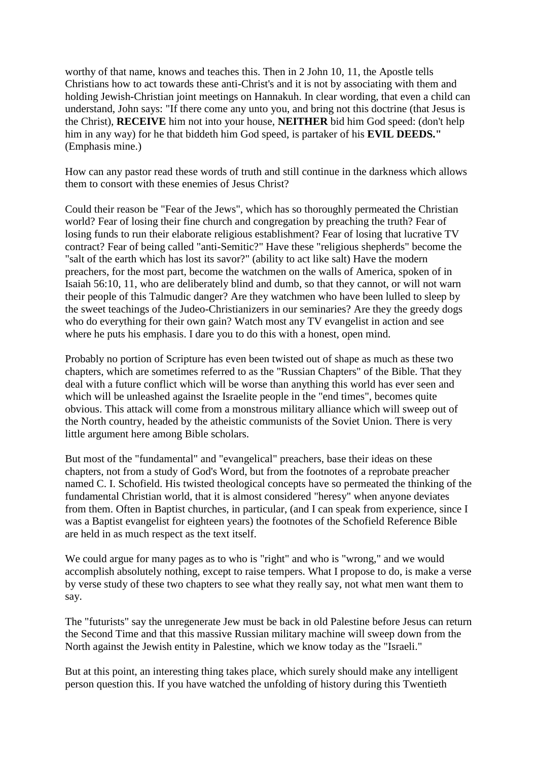worthy of that name, knows and teaches this. Then in 2 John 10, 11, the Apostle tells Christians how to act towards these anti-Christ's and it is not by associating with them and holding Jewish-Christian joint meetings on Hannakuh. In clear wording, that even a child can understand, John says: "If there come any unto you, and bring not this doctrine (that Jesus is the Christ), **RECEIVE** him not into your house, **NEITHER** bid him God speed: (don't help him in any way) for he that biddeth him God speed, is partaker of his **EVIL DEEDS."** (Emphasis mine.)

How can any pastor read these words of truth and still continue in the darkness which allows them to consort with these enemies of Jesus Christ?

Could their reason be "Fear of the Jews", which has so thoroughly permeated the Christian world? Fear of losing their fine church and congregation by preaching the truth? Fear of losing funds to run their elaborate religious establishment? Fear of losing that lucrative TV contract? Fear of being called "anti-Semitic?" Have these "religious shepherds" become the "salt of the earth which has lost its savor?" (ability to act like salt) Have the modern preachers, for the most part, become the watchmen on the walls of America, spoken of in Isaiah 56:10, 11, who are deliberately blind and dumb, so that they cannot, or will not warn their people of this Talmudic danger? Are they watchmen who have been lulled to sleep by the sweet teachings of the Judeo-Christianizers in our seminaries? Are they the greedy dogs who do everything for their own gain? Watch most any TV evangelist in action and see where he puts his emphasis. I dare you to do this with a honest, open mind.

Probably no portion of Scripture has even been twisted out of shape as much as these two chapters, which are sometimes referred to as the "Russian Chapters" of the Bible. That they deal with a future conflict which will be worse than anything this world has ever seen and which will be unleashed against the Israelite people in the "end times", becomes quite obvious. This attack will come from a monstrous military alliance which will sweep out of the North country, headed by the atheistic communists of the Soviet Union. There is very little argument here among Bible scholars.

But most of the "fundamental" and "evangelical" preachers, base their ideas on these chapters, not from a study of God's Word, but from the footnotes of a reprobate preacher named C. I. Schofield. His twisted theological concepts have so permeated the thinking of the fundamental Christian world, that it is almost considered "heresy" when anyone deviates from them. Often in Baptist churches, in particular, (and I can speak from experience, since I was a Baptist evangelist for eighteen years) the footnotes of the Schofield Reference Bible are held in as much respect as the text itself.

We could argue for many pages as to who is "right" and who is "wrong," and we would accomplish absolutely nothing, except to raise tempers. What I propose to do, is make a verse by verse study of these two chapters to see what they really say, not what men want them to say.

The "futurists" say the unregenerate Jew must be back in old Palestine before Jesus can return the Second Time and that this massive Russian military machine will sweep down from the North against the Jewish entity in Palestine, which we know today as the "Israeli."

But at this point, an interesting thing takes place, which surely should make any intelligent person question this. If you have watched the unfolding of history during this Twentieth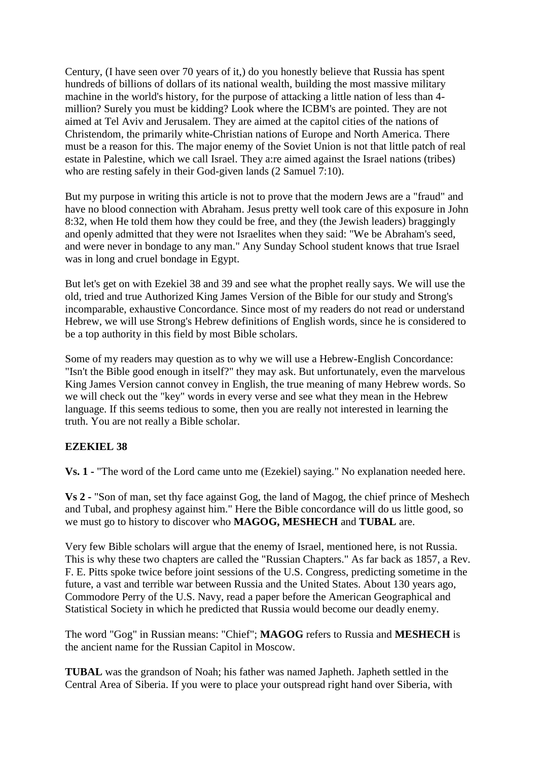Century, (I have seen over 70 years of it,) do you honestly believe that Russia has spent hundreds of billions of dollars of its national wealth, building the most massive military machine in the world's history, for the purpose of attacking a little nation of less than 4 million? Surely you must be kidding? Look where the ICBM's are pointed. They are not aimed at Tel Aviv and Jerusalem. They are aimed at the capitol cities of the nations of Christendom, the primarily white-Christian nations of Europe and North America. There must be a reason for this. The major enemy of the Soviet Union is not that little patch of real estate in Palestine, which we call Israel. They a:re aimed against the Israel nations (tribes) who are resting safely in their God-given lands (2 Samuel 7:10).

But my purpose in writing this article is not to prove that the modern Jews are a "fraud" and have no blood connection with Abraham. Jesus pretty well took care of this exposure in John 8:32, when He told them how they could be free, and they (the Jewish leaders) braggingly and openly admitted that they were not Israelites when they said: "We be Abraham's seed, and were never in bondage to any man." Any Sunday School student knows that true Israel was in long and cruel bondage in Egypt.

But let's get on with Ezekiel 38 and 39 and see what the prophet really says. We will use the old, tried and true Authorized King James Version of the Bible for our study and Strong's incomparable, exhaustive Concordance. Since most of my readers do not read or understand Hebrew, we will use Strong's Hebrew definitions of English words, since he is considered to be a top authority in this field by most Bible scholars.

Some of my readers may question as to why we will use a Hebrew-English Concordance: "Isn't the Bible good enough in itself?" they may ask. But unfortunately, even the marvelous King James Version cannot convey in English, the true meaning of many Hebrew words. So we will check out the "key" words in every verse and see what they mean in the Hebrew language. If this seems tedious to some, then you are really not interested in learning the truth. You are not really a Bible scholar.

## **EZEKIEL 38**

**Vs. 1 -** "The word of the Lord came unto me (Ezekiel) saying." No explanation needed here.

**Vs 2 -** "Son of man, set thy face against Gog, the land of Magog, the chief prince of Meshech and Tubal, and prophesy against him." Here the Bible concordance will do us little good, so we must go to history to discover who **MAGOG, MESHECH** and **TUBAL** are.

Very few Bible scholars will argue that the enemy of Israel, mentioned here, is not Russia. This is why these two chapters are called the "Russian Chapters." As far back as 1857, a Rev. F. E. Pitts spoke twice before joint sessions of the U.S. Congress, predicting sometime in the future, a vast and terrible war between Russia and the United States. About 130 years ago, Commodore Perry of the U.S. Navy, read a paper before the American Geographical and Statistical Society in which he predicted that Russia would become our deadly enemy.

The word "Gog" in Russian means: "Chief"; **MAGOG** refers to Russia and **MESHECH** is the ancient name for the Russian Capitol in Moscow.

**TUBAL** was the grandson of Noah; his father was named Japheth. Japheth settled in the Central Area of Siberia. If you were to place your outspread right hand over Siberia, with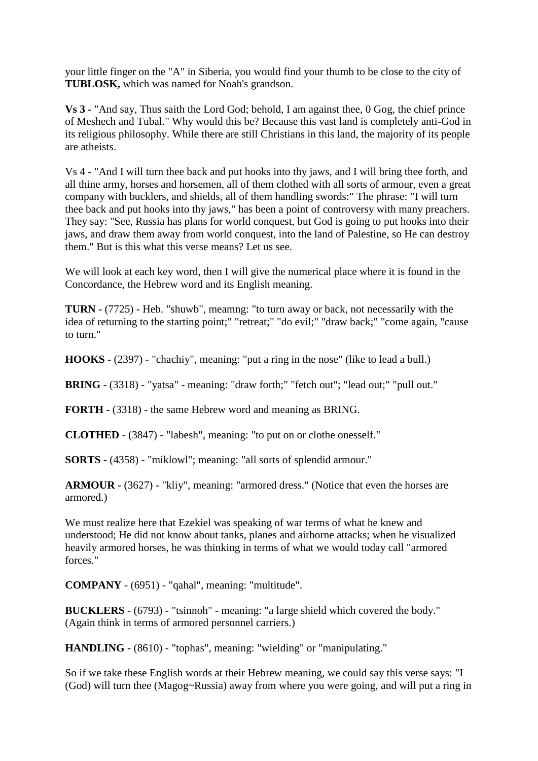your little finger on the "A" in Siberia, you would find your thumb to be close to the city of **TUBLOSK,** which was named for Noah's grandson.

**Vs 3 -** "And say, Thus saith the Lord God; behold, I am against thee, 0 Gog, the chief prince of Meshech and Tubal." Why would this be? Because this vast land is completely anti-God in its religious philosophy. While there are still Christians in this land, the majority of its people are atheists.

Vs 4 - "And I will turn thee back and put hooks into thy jaws, and I will bring thee forth, and all thine army, horses and horsemen, all of them clothed with all sorts of armour, even a great company with bucklers, and shields, all of them handling swords:" The phrase: "I will turn thee back and put hooks into thy jaws," has been a point of controversy with many preachers. They say: "See, Russia has plans for world conquest, but God is going to put hooks into their jaws, and draw them away from world conquest, into the land of Palestine, so He can destroy them." But is this what this verse means? Let us see.

We will look at each key word, then I will give the numerical place where it is found in the Concordance, the Hebrew word and its English meaning.

**TURN -** (7725) - Heb. "shuwb", meamng: "to turn away or back, not necessarily with the idea of returning to the starting point;" "retreat;" "do evil;" "draw back;" "come again, "cause to turn."

**HOOKS -** (2397) - "chachiy", meaning: "put a ring in the nose" (like to lead a bull.)

**BRING** - (3318) - "yatsa" - meaning: "draw forth;" "fetch out"; "lead out;" "pull out."

**FORTH -** (3318) - the same Hebrew word and meaning as BRING.

**CLOTHED** - (3847) - "labesh", meaning: "to put on or clothe onesself."

**SORTS -** (4358) - "miklowl"; meaning: "all sorts of splendid armour."

**ARMOUR** - (3627) - "kliy", meaning: "armored dress." (Notice that even the horses are armored.)

We must realize here that Ezekiel was speaking of war terms of what he knew and understood; He did not know about tanks, planes and airborne attacks; when he visualized heavily armored horses, he was thinking in terms of what we would today call "armored forces."

**COMPANY** - (6951) - "qahal", meaning: "multitude".

**BUCKLERS** - (6793) - "tsinnoh" - meaning: "a large shield which covered the body." (Again think in terms of armored personnel carriers.)

**HANDLING -** (8610) - "tophas", meaning: "wielding" or "manipulating."

So if we take these English words at their Hebrew meaning, we could say this verse says: "I (God) will turn thee (Magog~Russia) away from where you were going, and will put a ring in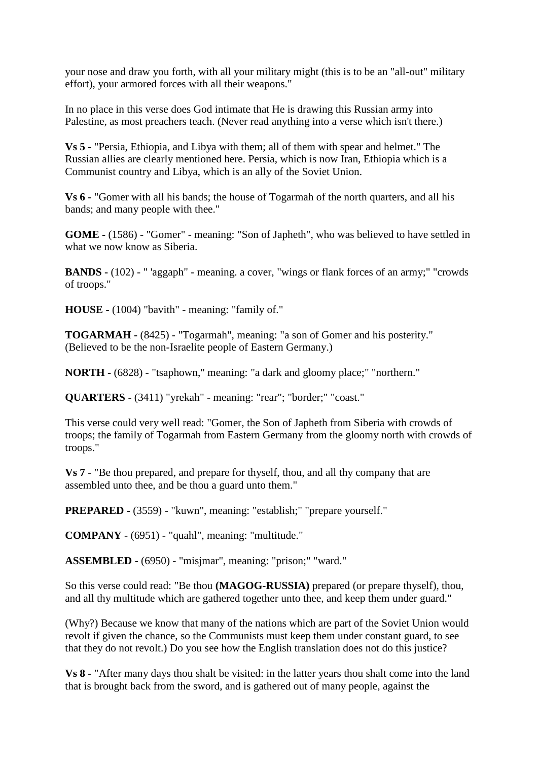your nose and draw you forth, with all your military might (this is to be an "all-out" military effort), your armored forces with all their weapons."

In no place in this verse does God intimate that He is drawing this Russian army into Palestine, as most preachers teach. (Never read anything into a verse which isn't there.)

**Vs 5 -** "Persia, Ethiopia, and Libya with them; all of them with spear and helmet." The Russian allies are clearly mentioned here. Persia, which is now Iran, Ethiopia which is a Communist country and Libya, which is an ally of the Soviet Union.

**Vs 6 -** "Gomer with all his bands; the house of Togarmah of the north quarters, and all his bands; and many people with thee."

**GOME -** (1586) - "Gomer" - meaning: "Son of Japheth", who was believed to have settled in what we now know as Siberia.

**BANDS -** (102) - " 'aggaph" - meaning. a cover, "wings or flank forces of an army;" "crowds of troops."

**HOUSE -** (1004) "bavith" - meaning: "family of."

**TOGARMAH -** (8425) - "Togarmah", meaning: "a son of Gomer and his posterity." (Believed to be the non-Israelite people of Eastern Germany.)

**NORTH -** (6828) - "tsaphown," meaning: "a dark and gloomy place;" "northern."

**QUARTERS -** (3411) "yrekah" - meaning: "rear"; "border;" "coast."

This verse could very well read: "Gomer, the Son of Japheth from Siberia with crowds of troops; the family of Togarmah from Eastern Germany from the gloomy north with crowds of troops."

**Vs 7** - "Be thou prepared, and prepare for thyself, thou, and all thy company that are assembled unto thee, and be thou a guard unto them."

**PREPARED -** (3559) - "kuwn", meaning: "establish;" "prepare yourself."

**COMPANY** - (6951) - "quahl", meaning: "multitude."

**ASSEMBLED -** (6950) - "misjmar", meaning: "prison;" "ward."

So this verse could read: "Be thou **(MAGOG-RUSSIA)** prepared (or prepare thyself), thou, and all thy multitude which are gathered together unto thee, and keep them under guard."

(Why?) Because we know that many of the nations which are part of the Soviet Union would revolt if given the chance, so the Communists must keep them under constant guard, to see that they do not revolt.) Do you see how the English translation does not do this justice?

**Vs 8 -** "After many days thou shalt be visited: in the latter years thou shalt come into the land that is brought back from the sword, and is gathered out of many people, against the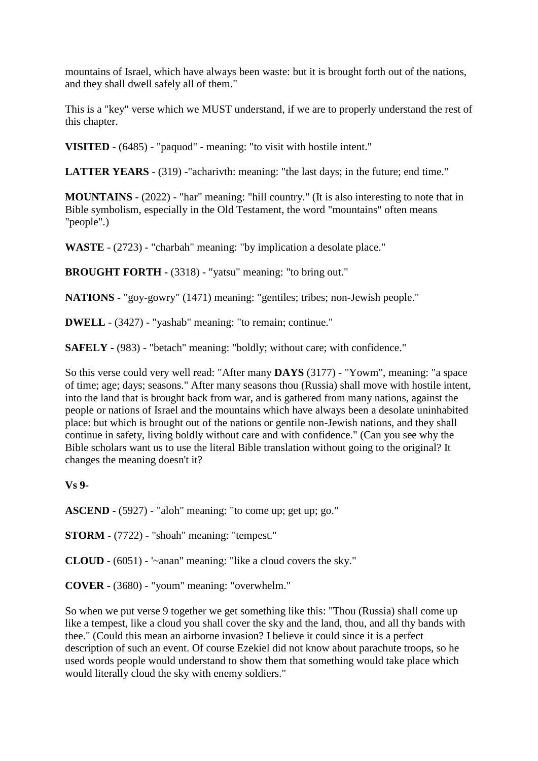mountains of Israel, which have always been waste: but it is brought forth out of the nations, and they shall dwell safely all of them."

This is a "key" verse which we MUST understand, if we are to properly understand the rest of this chapter.

**VISITED** - (6485) - "paquod" - meaning: "to visit with hostile intent."

**LATTER YEARS** - (319) -"acharivth: meaning: "the last days; in the future; end time."

**MOUNTAINS -** (2022) - "har" meaning: "hill country." (It is also interesting to note that in Bible symbolism, especially in the Old Testament, the word "mountains" often means "people".)

**WASTE** - (2723) - "charbah" meaning: "by implication a desolate place."

**BROUGHT FORTH -** (3318) - "yatsu" meaning: "to bring out."

**NATIONS -** "goy-gowry" (1471) meaning: "gentiles; tribes; non-Jewish people."

**DWELL** - (3427) - "yashab" meaning: "to remain; continue."

**SAFELY -** (983) - "betach" meaning: "boldly; without care; with confidence."

So this verse could very well read: "After many **DAYS** (3177) - "Yowm", meaning: "a space of time; age; days; seasons." After many seasons thou (Russia) shall move with hostile intent, into the land that is brought back from war, and is gathered from many nations, against the people or nations of Israel and the mountains which have always been a desolate uninhabited place: but which is brought out of the nations or gentile non-Jewish nations, and they shall continue in safety, living boldly without care and with confidence." (Can you see why the Bible scholars want us to use the literal Bible translation without going to the original? It changes the meaning doesn't it?

#### **Vs 9-**

**ASCEND -** (5927) - "aloh" meaning: "to come up; get up; go."

**STORM -** (7722) - "shoah" meaning: "tempest."

**CLOUD** - (6051) - '~anan" meaning: "like a cloud covers the sky."

**COVER -** (3680) - "youm" meaning: "overwhelm."

So when we put verse 9 together we get something like this: "Thou (Russia) shall come up like a tempest, like a cloud you shall cover the sky and the land, thou, and all thy bands with thee." (Could this mean an airborne invasion? I believe it could since it is a perfect description of such an event. Of course Ezekiel did not know about parachute troops, so he used words people would understand to show them that something would take place which would literally cloud the sky with enemy soldiers."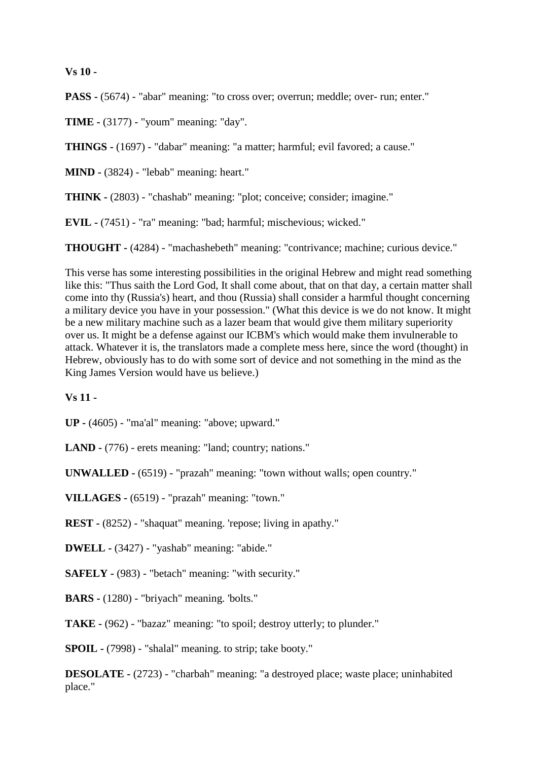**Vs 10 -**

**PASS -** (5674) - "abar" meaning: "to cross over; overrun; meddle; over- run; enter."

**TIME -** (3177) - "youm" meaning: "day".

**THINGS -** (1697) - "dabar" meaning: "a matter; harmful; evil favored; a cause."

**MIND -** (3824) - "lebab" meaning: heart."

**THINK -** (2803) - "chashab" meaning: "plot; conceive; consider; imagine."

**EVIL -** (7451) - "ra" meaning: "bad; harmful; mischevious; wicked."

**THOUGHT -** (4284) - "machashebeth" meaning: "contrivance; machine; curious device."

This verse has some interesting possibilities in the original Hebrew and might read something like this: "Thus saith the Lord God, It shall come about, that on that day, a certain matter shall come into thy (Russia's) heart, and thou (Russia) shall consider a harmful thought concerning a military device you have in your possession." (What this device is we do not know. It might be a new military machine such as a lazer beam that would give them military superiority over us. It might be a defense against our ICBM's which would make them invulnerable to attack. Whatever it is, the translators made a complete mess here, since the word (thought) in Hebrew, obviously has to do with some sort of device and not something in the mind as the King James Version would have us believe.)

#### **Vs 11 -**

**UP -** (4605) - "ma'al" meaning: "above; upward."

**LAND -** (776) - erets meaning: "land; country; nations."

**UNWALLED -** (6519) - "prazah" meaning: "town without walls; open country."

**VILLAGES -** (6519) - "prazah" meaning: "town."

**REST -** (8252) - "shaquat" meaning. 'repose; living in apathy."

**DWELL -** (3427) - "yashab" meaning: "abide."

**SAFELY -** (983) - "betach" meaning: "with security."

**BARS -** (1280) - "briyach" meaning. 'bolts."

**TAKE -** (962) - "bazaz" meaning: "to spoil; destroy utterly; to plunder."

**SPOIL -** (7998) - "shalal" meaning. to strip; take booty."

**DESOLATE -** (2723) - "charbah" meaning: "a destroyed place; waste place; uninhabited place."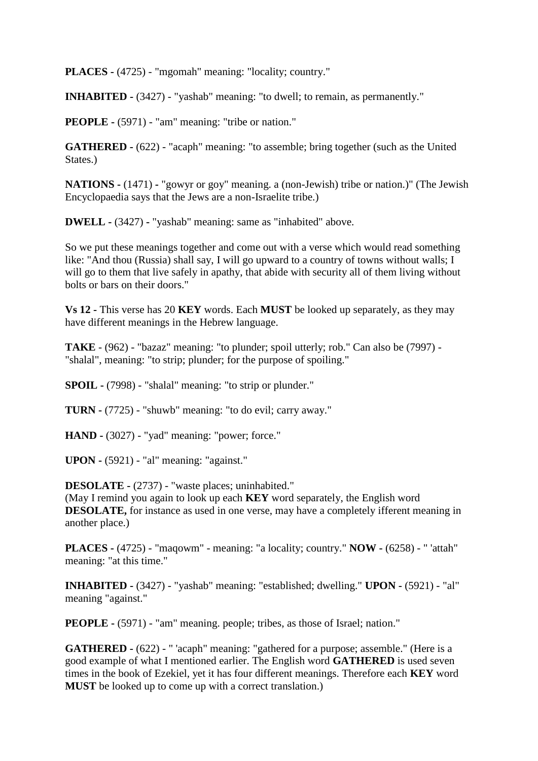**PLACES -** (4725) - "mgomah" meaning: "locality; country."

**INHABITED -** (3427) - "yashab" meaning: "to dwell; to remain, as permanently."

**PEOPLE -** (5971) - "am" meaning: "tribe or nation."

**GATHERED -** (622) - "acaph" meaning: "to assemble; bring together (such as the United States.)

**NATIONS -** (1471) **-** "gowyr or goy" meaning. a (non-Jewish) tribe or nation.)" (The Jewish Encyclopaedia says that the Jews are a non-Israelite tribe.)

**DWELL -** (3427) **-** "yashab" meaning: same as "inhabited" above.

So we put these meanings together and come out with a verse which would read something like: "And thou (Russia) shall say, I will go upward to a country of towns without walls; I will go to them that live safely in apathy, that abide with security all of them living without bolts or bars on their doors."

**Vs 12 -** This verse has 20 **KEY** words. Each **MUST** be looked up separately, as they may have different meanings in the Hebrew language.

**TAKE** - (962) - "bazaz" meaning: "to plunder; spoil utterly; rob." Can also be (7997) - "shalal", meaning: "to strip; plunder; for the purpose of spoiling."

**SPOIL -** (7998) - "shalal" meaning: "to strip or plunder."

**TURN -** (7725) - "shuwb" meaning: "to do evil; carry away."

**HAND -** (3027) - "yad" meaning: "power; force."

**UPON -** (5921) - "al" meaning: "against."

**DESOLATE -** (2737) - "waste places; uninhabited."

(May I remind you again to look up each **KEY** word separately, the English word **DESOLATE,** for instance as used in one verse, may have a completely ifferent meaning in another place.)

**PLACES -** (4725) - "maqowm" - meaning: "a locality; country." **NOW -** (6258) - " 'attah" meaning: "at this time."

**INHABITED -** (3427) - "yashab" meaning: "established; dwelling." **UPON -** (5921) - "al" meaning "against."

**PEOPLE -** (5971) - "am" meaning. people; tribes, as those of Israel; nation."

**GATHERED -** (622) - " 'acaph" meaning: "gathered for a purpose; assemble." (Here is a good example of what I mentioned earlier. The English word **GATHERED** is used seven times in the book of Ezekiel, yet it has four different meanings. Therefore each **KEY** word **MUST** be looked up to come up with a correct translation.)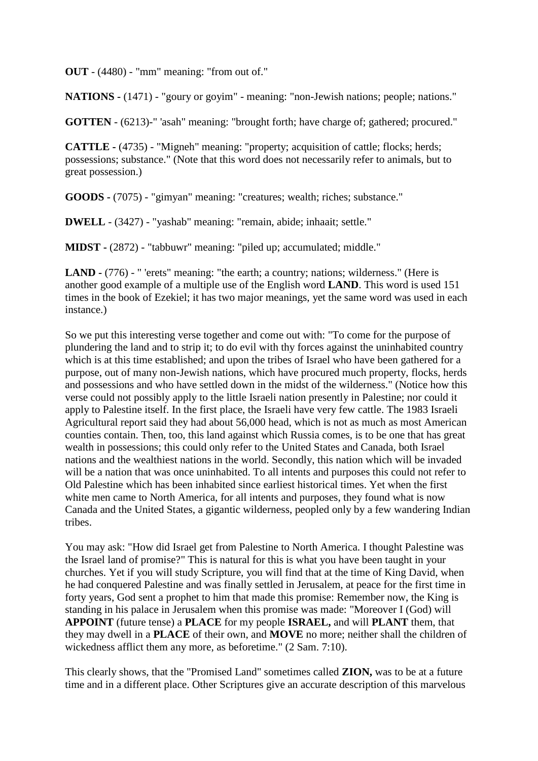**OUT** - (4480) - "mm" meaning: "from out of."

**NATIONS -** (1471) - "goury or goyim" - meaning: "non-Jewish nations; people; nations."

**GOTTEN** - (6213)-" 'asah" meaning: "brought forth; have charge of; gathered; procured."

**CATTLE -** (4735) - "Migneh" meaning: "property; acquisition of cattle; flocks; herds; possessions; substance." (Note that this word does not necessarily refer to animals, but to great possession.)

**GOODS -** (7075) - "gimyan" meaning: "creatures; wealth; riches; substance."

**DWELL** - (3427) - "yashab" meaning: "remain, abide; inhaait; settle."

**MIDST -** (2872) - "tabbuwr" meaning: "piled up; accumulated; middle."

**LAND -** (776) - " 'erets" meaning: "the earth; a country; nations; wilderness." (Here is another good example of a multiple use of the English word **LAND**. This word is used 151 times in the book of Ezekiel; it has two major meanings, yet the same word was used in each instance.)

So we put this interesting verse together and come out with: "To come for the purpose of plundering the land and to strip it; to do evil with thy forces against the uninhabited country which is at this time established; and upon the tribes of Israel who have been gathered for a purpose, out of many non-Jewish nations, which have procured much property, flocks, herds and possessions and who have settled down in the midst of the wilderness." (Notice how this verse could not possibly apply to the little Israeli nation presently in Palestine; nor could it apply to Palestine itself. In the first place, the Israeli have very few cattle. The 1983 Israeli Agricultural report said they had about 56,000 head, which is not as much as most American counties contain. Then, too, this land against which Russia comes, is to be one that has great wealth in possessions; this could only refer to the United States and Canada, both Israel nations and the wealthiest nations in the world. Secondly, this nation which will be invaded will be a nation that was once uninhabited. To all intents and purposes this could not refer to Old Palestine which has been inhabited since earliest historical times. Yet when the first white men came to North America, for all intents and purposes, they found what is now Canada and the United States, a gigantic wilderness, peopled only by a few wandering Indian tribes.

You may ask: "How did Israel get from Palestine to North America. I thought Palestine was the Israel land of promise?" This is natural for this is what you have been taught in your churches. Yet if you will study Scripture, you will find that at the time of King David, when he had conquered Palestine and was finally settled in Jerusalem, at peace for the first time in forty years, God sent a prophet to him that made this promise: Remember now, the King is standing in his palace in Jerusalem when this promise was made: "Moreover I (God) will **APPOINT** (future tense) a **PLACE** for my people **ISRAEL,** and will **PLANT** them, that they may dwell in a **PLACE** of their own, and **MOVE** no more; neither shall the children of wickedness afflict them any more, as beforetime." (2 Sam. 7:10).

This clearly shows, that the "Promised Land" sometimes called **ZION,** was to be at a future time and in a different place. Other Scriptures give an accurate description of this marvelous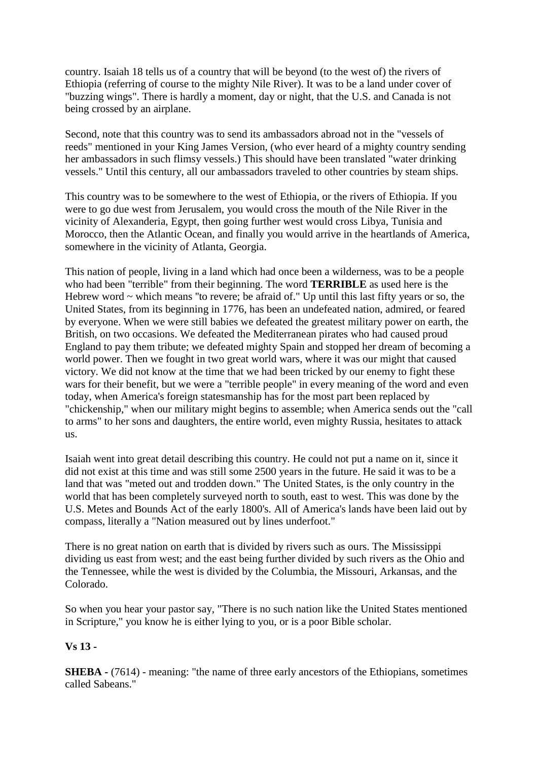country. Isaiah 18 tells us of a country that will be beyond (to the west of) the rivers of Ethiopia (referring of course to the mighty Nile River). It was to be a land under cover of "buzzing wings". There is hardly a moment, day or night, that the U.S. and Canada is not being crossed by an airplane.

Second, note that this country was to send its ambassadors abroad not in the "vessels of reeds" mentioned in your King James Version, (who ever heard of a mighty country sending her ambassadors in such flimsy vessels.) This should have been translated "water drinking vessels." Until this century, all our ambassadors traveled to other countries by steam ships.

This country was to be somewhere to the west of Ethiopia, or the rivers of Ethiopia. If you were to go due west from Jerusalem, you would cross the mouth of the Nile River in the vicinity of Alexanderia, Egypt, then going further west would cross Libya, Tunisia and Morocco, then the Atlantic Ocean, and finally you would arrive in the heartlands of America, somewhere in the vicinity of Atlanta, Georgia.

This nation of people, living in a land which had once been a wilderness, was to be a people who had been "terrible" from their beginning. The word **TERRIBLE** as used here is the Hebrew word ~ which means "to revere; be afraid of." Up until this last fifty years or so, the United States, from its beginning in 1776, has been an undefeated nation, admired, or feared by everyone. When we were still babies we defeated the greatest military power on earth, the British, on two occasions. We defeated the Mediterranean pirates who had caused proud England to pay them tribute; we defeated mighty Spain and stopped her dream of becoming a world power. Then we fought in two great world wars, where it was our might that caused victory. We did not know at the time that we had been tricked by our enemy to fight these wars for their benefit, but we were a "terrible people" in every meaning of the word and even today, when America's foreign statesmanship has for the most part been replaced by "chickenship," when our military might begins to assemble; when America sends out the "call to arms" to her sons and daughters, the entire world, even mighty Russia, hesitates to attack us.

Isaiah went into great detail describing this country. He could not put a name on it, since it did not exist at this time and was still some 2500 years in the future. He said it was to be a land that was "meted out and trodden down." The United States, is the only country in the world that has been completely surveyed north to south, east to west. This was done by the U.S. Metes and Bounds Act of the early 1800's. All of America's lands have been laid out by compass, literally a "Nation measured out by lines underfoot."

There is no great nation on earth that is divided by rivers such as ours. The Mississippi dividing us east from west; and the east being further divided by such rivers as the Ohio and the Tennessee, while the west is divided by the Columbia, the Missouri, Arkansas, and the Colorado.

So when you hear your pastor say, "There is no such nation like the United States mentioned in Scripture," you know he is either lying to you, or is a poor Bible scholar.

## **Vs 13 -**

**SHEBA** - (7614) - meaning: "the name of three early ancestors of the Ethiopians, sometimes called Sabeans."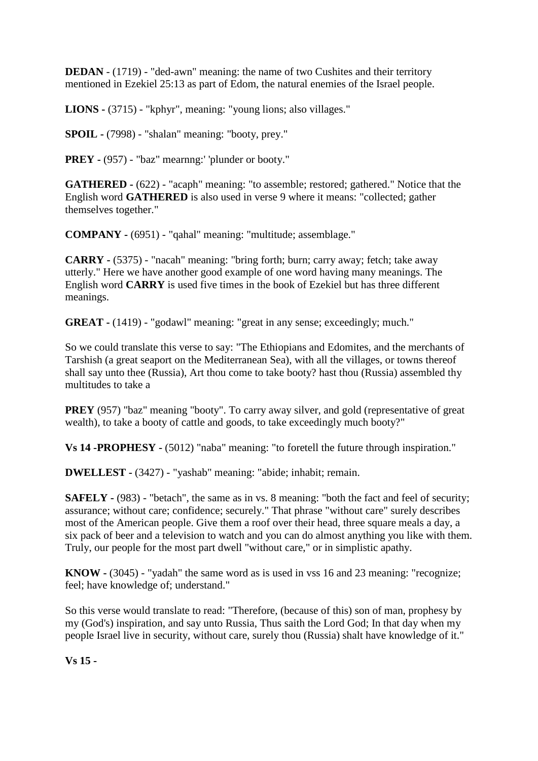**DEDAN** - (1719) - "ded-awn" meaning: the name of two Cushites and their territory mentioned in Ezekiel 25:13 as part of Edom, the natural enemies of the Israel people.

**LIONS -** (3715) - "kphyr", meaning: "young lions; also villages."

**SPOIL -** (7998) - "shalan" meaning: "booty, prey."

**PREY -** (957) - "baz" mearnng:' 'plunder or booty."

**GATHERED -** (622) - "acaph" meaning: "to assemble; restored; gathered." Notice that the English word **GATHERED** is also used in verse 9 where it means: "collected; gather themselves together."

**COMPANY -** (6951) - "qahal" meaning: "multitude; assemblage."

**CARRY -** (5375) - "nacah" meaning: "bring forth; burn; carry away; fetch; take away utterly." Here we have another good example of one word having many meanings. The English word **CARRY** is used five times in the book of Ezekiel but has three different meanings.

**GREAT -** (1419) - "godawl" meaning: "great in any sense; exceedingly; much."

So we could translate this verse to say: "The Ethiopians and Edomites, and the merchants of Tarshish (a great seaport on the Mediterranean Sea), with all the villages, or towns thereof shall say unto thee (Russia), Art thou come to take booty? hast thou (Russia) assembled thy multitudes to take a

**PREY** (957) "baz" meaning "booty". To carry away silver, and gold (representative of great) wealth), to take a booty of cattle and goods, to take exceedingly much booty?"

**Vs 14 -PROPHESY -** (5012) "naba" meaning: "to foretell the future through inspiration."

**DWELLEST -** (3427) - "yashab" meaning: "abide; inhabit; remain.

**SAFELY -** (983) - "betach", the same as in vs. 8 meaning: "both the fact and feel of security; assurance; without care; confidence; securely." That phrase "without care" surely describes most of the American people. Give them a roof over their head, three square meals a day, a six pack of beer and a television to watch and you can do almost anything you like with them. Truly, our people for the most part dwell "without care," or in simplistic apathy.

**KNOW -** (3045) - "yadah" the same word as is used in vss 16 and 23 meaning: "recognize; feel; have knowledge of; understand."

So this verse would translate to read: "Therefore, (because of this) son of man, prophesy by my (God's) inspiration, and say unto Russia, Thus saith the Lord God; In that day when my people Israel live in security, without care, surely thou (Russia) shalt have knowledge of it."

**Vs 15 -**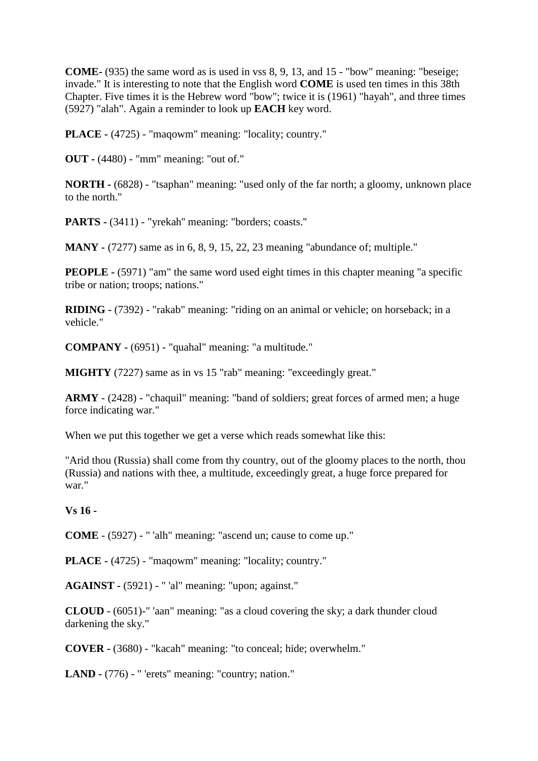**COME-** (935) the same word as is used in vss 8, 9, 13, and 15 - "bow" meaning: "beseige; invade." It is interesting to note that the English word **COME** is used ten times in this 38th Chapter. Five times it is the Hebrew word "bow"; twice it is (1961) "hayah", and three times (5927) "alah". Again a reminder to look up **EACH** key word.

**PLACE -** (4725) - "maqowm" meaning: "locality; country."

**OUT -** (4480) - "mm" meaning: "out of."

**NORTH -** (6828) - "tsaphan" meaning: "used only of the far north; a gloomy, unknown place to the north."

**PARTS -** (3411) - "yrekah'' meaning: "borders; coasts.''

**MANY -** (7277) same as in 6, 8, 9, 15, 22, 23 meaning "abundance of; multiple."

**PEOPLE -** (5971) "am" the same word used eight times in this chapter meaning "a specific tribe or nation; troops; nations."

**RIDING -** (7392) - "rakab" meaning: "riding on an animal or vehicle; on horseback; in a vehicle."

**COMPANY -** (6951) - "quahal" meaning: "a multitude."

**MIGHTY** (7227) same as in vs 15 "rab" meaning: "exceedingly great."

**ARMY** - (2428) - "chaquil" meaning: "band of soldiers; great forces of armed men; a huge force indicating war."

When we put this together we get a verse which reads somewhat like this:

"Arid thou (Russia) shall come from thy country, out of the gloomy places to the north, thou (Russia) and nations with thee, a multitude, exceedingly great, a huge force prepared for war."

#### **Vs 16 -**

**COME** - (5927) - " 'alh" meaning: "ascend un; cause to come up."

**PLACE -** (4725) - "maqowm" meaning: "locality; country."

**AGAINST -** (5921) - " 'al" meaning: "upon; against."

**CLOUD** - (6051)-" 'aan" meaning: "as a cloud covering the sky; a dark thunder cloud darkening the sky."

**COVER -** (3680) - "kacah" meaning: "to conceal; hide; overwhelm."

**LAND -** (776) - " 'erets" meaning: "country; nation."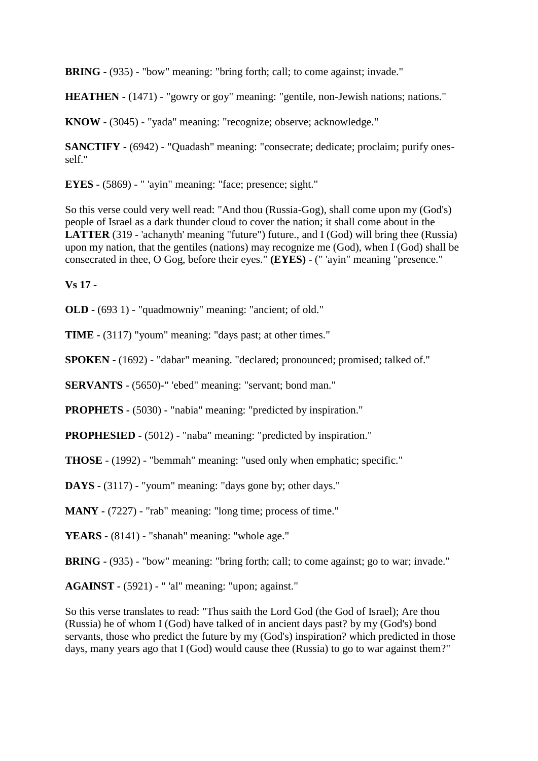**BRING -** (935) - "bow" meaning: "bring forth; call; to come against; invade."

**HEATHEN -** (1471) - "gowry or goy" meaning: "gentile, non-Jewish nations; nations."

**KNOW -** (3045) - "yada" meaning: "recognize; observe; acknowledge."

**SANCTIFY -** (6942) - "Quadash" meaning: "consecrate; dedicate; proclaim; purify onesself."

**EYES -** (5869) - " 'ayin" meaning: "face; presence; sight."

So this verse could very well read: "And thou (Russia-Gog), shall come upon my (God's) people of Israel as a dark thunder cloud to cover the nation; it shall come about in the **LATTER** (319 - 'achanyth' meaning "future") future., and I (God) will bring thee (Russia) upon my nation, that the gentiles (nations) may recognize me (God), when I (God) shall be consecrated in thee, O Gog, before their eyes." **(EYES)** - (" 'ayin" meaning "presence."

**Vs 17 -**

**OLD -** (693 1) - "quadmowniy" meaning: "ancient; of old."

**TIME -** (3117) "youm" meaning: "days past; at other times."

**SPOKEN -** (1692) - "dabar" meaning. "declared; pronounced; promised; talked of."

**SERVANTS** - (5650)-" 'ebed" meaning: "servant; bond man."

**PROPHETS -** (5030) - "nabia" meaning: "predicted by inspiration."

**PROPHESIED -** (5012) - "naba" meaning: "predicted by inspiration."

**THOSE** - (1992) - "bemmah" meaning: "used only when emphatic; specific."

**DAYS -** (3117) - "youm" meaning: "days gone by; other days."

**MANY** - (7227) - "rab" meaning: "long time; process of time."

**YEARS -** (8141) - "shanah" meaning: "whole age."

**BRING -** (935) - "bow" meaning: "bring forth; call; to come against; go to war; invade."

**AGAINST -** (5921) - " 'al" meaning: "upon; against."

So this verse translates to read: "Thus saith the Lord God (the God of Israel); Are thou (Russia) he of whom I (God) have talked of in ancient days past? by my (God's) bond servants, those who predict the future by my (God's) inspiration? which predicted in those days, many years ago that I (God) would cause thee (Russia) to go to war against them?"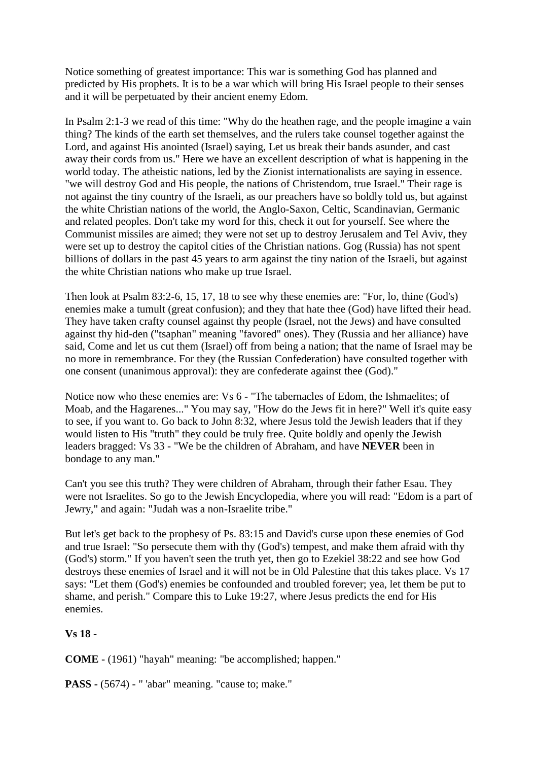Notice something of greatest importance: This war is something God has planned and predicted by His prophets. It is to be a war which will bring His Israel people to their senses and it will be perpetuated by their ancient enemy Edom.

In Psalm 2:1-3 we read of this time: "Why do the heathen rage, and the people imagine a vain thing? The kinds of the earth set themselves, and the rulers take counsel together against the Lord, and against His anointed (Israel) saying, Let us break their bands asunder, and cast away their cords from us." Here we have an excellent description of what is happening in the world today. The atheistic nations, led by the Zionist internationalists are saying in essence. "we will destroy God and His people, the nations of Christendom, true Israel." Their rage is not against the tiny country of the Israeli, as our preachers have so boldly told us, but against the white Christian nations of the world, the Anglo-Saxon, Celtic, Scandinavian, Germanic and related peoples. Don't take my word for this, check it out for yourself. See where the Communist missiles are aimed; they were not set up to destroy Jerusalem and Tel Aviv, they were set up to destroy the capitol cities of the Christian nations. Gog (Russia) has not spent billions of dollars in the past 45 years to arm against the tiny nation of the Israeli, but against the white Christian nations who make up true Israel.

Then look at Psalm 83:2-6, 15, 17, 18 to see why these enemies are: "For, lo, thine (God's) enemies make a tumult (great confusion); and they that hate thee (God) have lifted their head. They have taken crafty counsel against thy people (Israel, not the Jews) and have consulted against thy hid-den ("tsaphan" meaning "favored" ones). They (Russia and her alliance) have said, Come and let us cut them (Israel) off from being a nation; that the name of Israel may be no more in remembrance. For they (the Russian Confederation) have consulted together with one consent (unanimous approval): they are confederate against thee (God)."

Notice now who these enemies are: Vs 6 - "The tabernacles of Edom, the Ishmaelites; of Moab, and the Hagarenes..." You may say, "How do the Jews fit in here?" Well it's quite easy to see, if you want to. Go back to John 8:32, where Jesus told the Jewish leaders that if they would listen to His "truth" they could be truly free. Quite boldly and openly the Jewish leaders bragged: Vs 33 - "We be the children of Abraham, and have **NEVER** been in bondage to any man."

Can't you see this truth? They were children of Abraham, through their father Esau. They were not Israelites. So go to the Jewish Encyclopedia, where you will read: "Edom is a part of Jewry," and again: "Judah was a non-Israelite tribe."

But let's get back to the prophesy of Ps. 83:15 and David's curse upon these enemies of God and true Israel: "So persecute them with thy (God's) tempest, and make them afraid with thy (God's) storm." If you haven't seen the truth yet, then go to Ezekiel 38:22 and see how God destroys these enemies of Israel and it will not be in Old Palestine that this takes place. Vs 17 says: "Let them (God's) enemies be confounded and troubled forever; yea, let them be put to shame, and perish." Compare this to Luke 19:27, where Jesus predicts the end for His enemies.

## **Vs 18 -**

**COME** - (1961) "hayah" meaning: "be accomplished; happen."

**PASS -** (5674) - " 'abar" meaning. "cause to; make."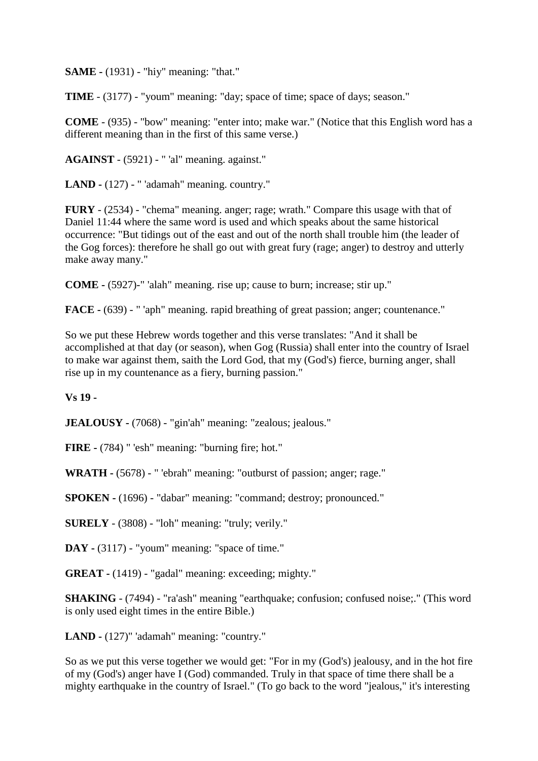**SAME -** (1931) - "hiy" meaning: "that."

**TIME** - (3177) - "youm" meaning: "day; space of time; space of days; season."

**COME** - (935) - "bow" meaning: "enter into; make war." (Notice that this English word has a different meaning than in the first of this same verse.)

**AGAINST** - (5921) - " 'al" meaning. against."

**LAND -** (127) - " 'adamah" meaning. country."

**FURY** - (2534) - "chema" meaning. anger; rage; wrath." Compare this usage with that of Daniel 11:44 where the same word is used and which speaks about the same historical occurrence: "But tidings out of the east and out of the north shall trouble him (the leader of the Gog forces): therefore he shall go out with great fury (rage; anger) to destroy and utterly make away many."

**COME -** (5927)-" 'alah" meaning. rise up; cause to burn; increase; stir up."

**FACE -** (639) - " 'aph" meaning. rapid breathing of great passion; anger; countenance."

So we put these Hebrew words together and this verse translates: "And it shall be accomplished at that day (or season), when Gog (Russia) shall enter into the country of Israel to make war against them, saith the Lord God, that my (God's) fierce, burning anger, shall rise up in my countenance as a fiery, burning passion."

**Vs 19 -**

**JEALOUSY -** (7068) - "gin'ah" meaning: "zealous; jealous."

**FIRE -** (784) " 'esh" meaning: "burning fire; hot."

**WRATH -** (5678) - " 'ebrah" meaning: "outburst of passion; anger; rage."

**SPOKEN -** (1696) - "dabar" meaning: "command; destroy; pronounced."

**SURELY** - (3808) - "loh" meaning: "truly; verily."

**DAY -** (3117) - "youm" meaning: "space of time."

**GREAT -** (1419) - "gadal" meaning: exceeding; mighty."

**SHAKING** - (7494) - "ra'ash" meaning "earthquake; confusion; confused noise;." (This word is only used eight times in the entire Bible.)

**LAND -** (127)" 'adamah" meaning: "country."

So as we put this verse together we would get: "For in my (God's) jealousy, and in the hot fire of my (God's) anger have I (God) commanded. Truly in that space of time there shall be a mighty earthquake in the country of Israel." (To go back to the word "jealous," it's interesting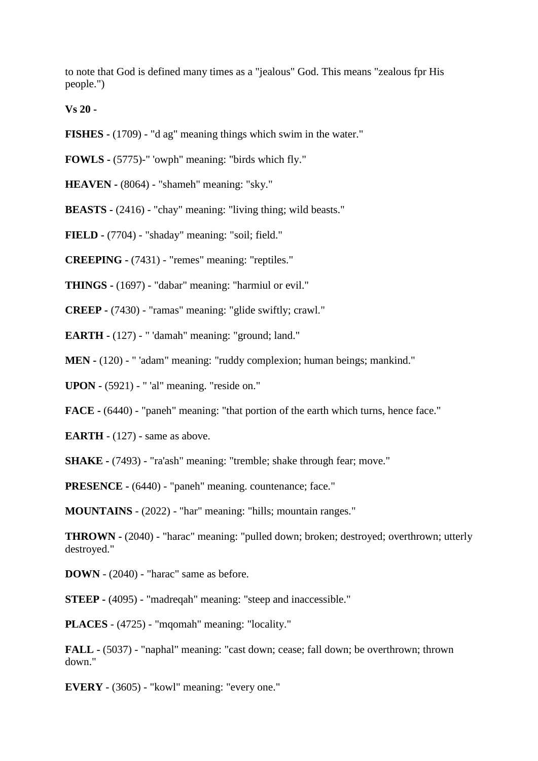to note that God is defined many times as a "jealous" God. This means "zealous fpr His people.")

**Vs 20 -**

- **FISHES -** (1709) "d ag" meaning things which swim in the water."
- **FOWLS -** (5775)-" 'owph" meaning: "birds which fly."

**HEAVEN -** (8064) - "shameh" meaning: "sky."

**BEASTS -** (2416) - "chay" meaning: "living thing; wild beasts."

**FIELD -** (7704) - "shaday" meaning: "soil; field."

**CREEPING -** (7431) - "remes" meaning: "reptiles."

**THINGS -** (1697) - "dabar" meaning: "harmiul or evil."

**CREEP -** (7430) - "ramas" meaning: "glide swiftly; crawl."

**EARTH -** (127) - " 'damah" meaning: "ground; land."

**MEN -** (120) - " 'adam" meaning: "ruddy complexion; human beings; mankind."

**UPON -** (5921) - " 'al" meaning. "reside on."

**FACE -** (6440) - "paneh" meaning: "that portion of the earth which turns, hence face."

**EARTH** - (127) - same as above.

**SHAKE -** (7493) - "ra'ash" meaning: "tremble; shake through fear; move."

**PRESENCE -** (6440) - "paneh" meaning. countenance; face."

**MOUNTAINS** - (2022) - "har" meaning: "hills; mountain ranges."

**THROWN -** (2040) - "harac" meaning: "pulled down; broken; destroyed; overthrown; utterly destroyed."

**DOWN** - (2040) - "harac" same as before.

**STEEP -** (4095) - "madreqah" meaning: "steep and inaccessible."

**PLACES** - (4725) - "mqomah" meaning: "locality."

**FALL -** (5037) - "naphal" meaning: "cast down; cease; fall down; be overthrown; thrown down."

**EVERY** *-* (3605) *-* "kowl" meaning: "every one."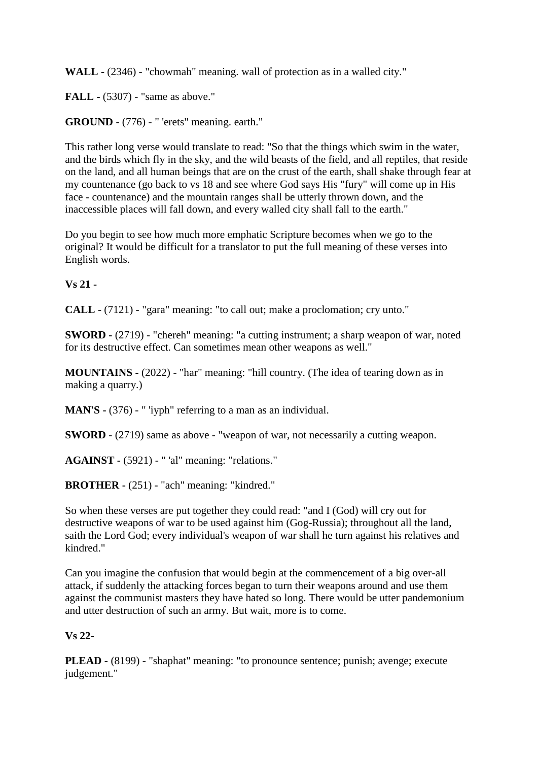**WALL -** (2346) - "chowmah" meaning. wall of protection as in a walled city."

**FALL -** (5307) - "same as above."

**GROUND -** (776) - " 'erets" meaning. earth."

This rather long verse would translate to read: "So that the things which swim in the water, and the birds which fly in the sky, and the wild beasts of the field, and all reptiles, that reside on the land, and all human beings that are on the crust of the earth, shall shake through fear at my countenance (go back to vs 18 and see where God says His "fury" will come up in His face - countenance) and the mountain ranges shall be utterly thrown down, and the inaccessible places will fall down, and every walled city shall fall to the earth."

Do you begin to see how much more emphatic Scripture becomes when we go to the original? It would be difficult for a translator to put the full meaning of these verses into English words.

## **Vs 21 -**

**CALL** - (7121) - "gara" meaning: "to call out; make a proclomation; cry unto."

**SWORD -** (2719) - "chereh" meaning: "a cutting instrument; a sharp weapon of war, noted for its destructive effect. Can sometimes mean other weapons as well."

**MOUNTAINS -** (2022) - "har" meaning: "hill country. (The idea of tearing down as in making a quarry.)

**MAN'S -** (376) - " 'iyph" referring to a man as an individual.

**SWORD** - (2719) same as above - "weapon of war, not necessarily a cutting weapon.

**AGAINST -** (5921) - " 'al" meaning: "relations."

**BROTHER -** (251) - "ach" meaning: "kindred."

So when these verses are put together they could read: "and I (God) will cry out for destructive weapons of war to be used against him (Gog-Russia); throughout all the land, saith the Lord God; every individual's weapon of war shall he turn against his relatives and kindred."

Can you imagine the confusion that would begin at the commencement of a big over-all attack, if suddenly the attacking forces began to turn their weapons around and use them against the communist masters they have hated so long. There would be utter pandemonium and utter destruction of such an army. But wait, more is to come.

## **Vs 22-**

**PLEAD -** (8199) - "shaphat" meaning: "to pronounce sentence; punish; avenge; execute judgement."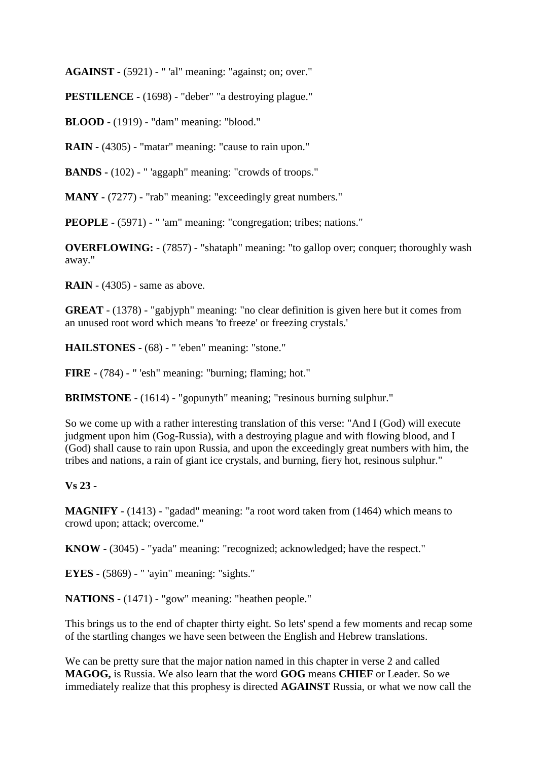**AGAINST -** (5921) - " 'al" meaning: "against; on; over."

**PESTILENCE -** (1698) - "deber" "a destroying plague."

**BLOOD -** (1919) - "dam" meaning: "blood."

**RAIN -** (4305) - "matar" meaning: "cause to rain upon."

**BANDS -** (102) - " 'aggaph" meaning: "crowds of troops."

**MANY** - (7277) - "rab" meaning: "exceedingly great numbers."

**PEOPLE -** (5971) - " 'am" meaning: "congregation; tribes; nations."

**OVERFLOWING:**  $- (7857) -$  "shataph" meaning: "to gallop over; conquer; thoroughly wash away."

**RAIN** - (4305) - same as above.

**GREAT** - (1378) - "gabjyph" meaning: "no clear definition is given here but it comes from an unused root word which means 'to freeze' or freezing crystals.'

**HAILSTONES -** (68) - " 'eben" meaning: "stone."

**FIRE** - (784) - " 'esh" meaning: "burning; flaming; hot."

**BRIMSTONE** - (1614) - "gopunyth" meaning; "resinous burning sulphur."

So we come up with a rather interesting translation of this verse: "And I (God) will execute judgment upon him (Gog-Russia), with a destroying plague and with flowing blood, and I (God) shall cause to rain upon Russia, and upon the exceedingly great numbers with him, the tribes and nations, a rain of giant ice crystals, and burning, fiery hot, resinous sulphur."

## **Vs 23 -**

**MAGNIFY** - (1413) - "gadad" meaning: "a root word taken from (1464) which means to crowd upon; attack; overcome."

**KNOW -** (3045) - "yada" meaning: "recognized; acknowledged; have the respect."

**EYES -** (5869) - " 'ayin" meaning: "sights."

**NATIONS -** (1471) - "gow" meaning: "heathen people."

This brings us to the end of chapter thirty eight. So lets' spend a few moments and recap some of the startling changes we have seen between the English and Hebrew translations.

We can be pretty sure that the major nation named in this chapter in verse 2 and called **MAGOG,** is Russia. We also learn that the word **GOG** means **CHIEF** or Leader. So we immediately realize that this prophesy is directed **AGAINST** Russia, or what we now call the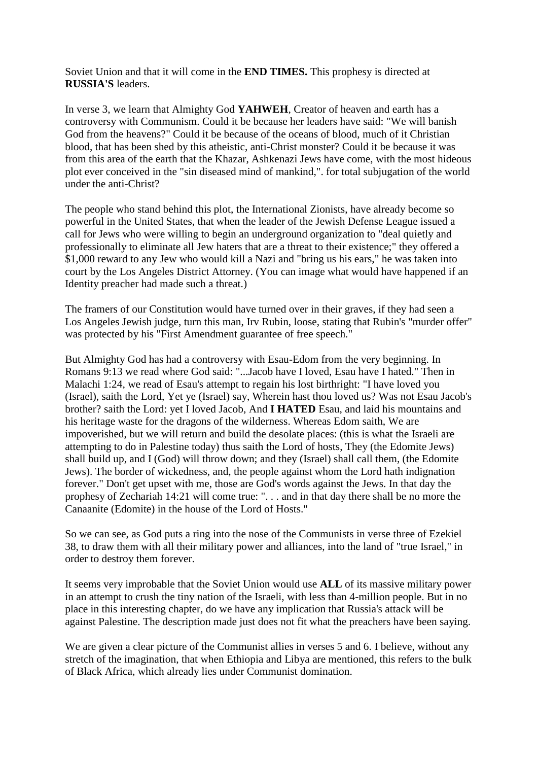Soviet Union and that it will come in the **END TIMES.** This prophesy is directed at **RUSSIA'S** leaders.

In verse 3, we learn that Almighty God **YAHWEH**, Creator of heaven and earth has a controversy with Communism. Could it be because her leaders have said: "We will banish God from the heavens?" Could it be because of the oceans of blood, much of it Christian blood, that has been shed by this atheistic, anti-Christ monster? Could it be because it was from this area of the earth that the Khazar, Ashkenazi Jews have come, with the most hideous plot ever conceived in the "sin diseased mind of mankind,". for total subjugation of the world under the anti-Christ?

The people who stand behind this plot, the International Zionists, have already become so powerful in the United States, that when the leader of the Jewish Defense League issued a call for Jews who were willing to begin an underground organization to "deal quietly and professionally to eliminate all Jew haters that are a threat to their existence;" they offered a \$1,000 reward to any Jew who would kill a Nazi and "bring us his ears," he was taken into court by the Los Angeles District Attorney. (You can image what would have happened if an Identity preacher had made such a threat.)

The framers of our Constitution would have turned over in their graves, if they had seen a Los Angeles Jewish judge, turn this man, Irv Rubin, loose, stating that Rubin's "murder offer" was protected by his "First Amendment guarantee of free speech."

But Almighty God has had a controversy with Esau-Edom from the very beginning. In Romans 9:13 we read where God said: "...Jacob have I loved, Esau have I hated." Then in Malachi 1:24, we read of Esau's attempt to regain his lost birthright: "I have loved you (Israel), saith the Lord, Yet ye (Israel) say, Wherein hast thou loved us? Was not Esau Jacob's brother? saith the Lord: yet I loved Jacob, And **I HATED** Esau, and laid his mountains and his heritage waste for the dragons of the wilderness. Whereas Edom saith, We are impoverished, but we will return and build the desolate places: (this is what the Israeli are attempting to do in Palestine today) thus saith the Lord of hosts, They (the Edomite Jews) shall build up, and I (God) will throw down; and they (Israel) shall call them, (the Edomite Jews). The border of wickedness, and, the people against whom the Lord hath indignation forever." Don't get upset with me, those are God's words against the Jews. In that day the prophesy of Zechariah 14:21 will come true: ". . . and in that day there shall be no more the Canaanite (Edomite) in the house of the Lord of Hosts."

So we can see, as God puts a ring into the nose of the Communists in verse three of Ezekiel 38, to draw them with all their military power and alliances, into the land of "true Israel," in order to destroy them forever.

It seems very improbable that the Soviet Union would use **ALL** of its massive military power in an attempt to crush the tiny nation of the Israeli, with less than 4-million people. But in no place in this interesting chapter, do we have any implication that Russia's attack will be against Palestine. The description made just does not fit what the preachers have been saying.

We are given a clear picture of the Communist allies in verses 5 and 6. I believe, without any stretch of the imagination, that when Ethiopia and Libya are mentioned, this refers to the bulk of Black Africa, which already lies under Communist domination.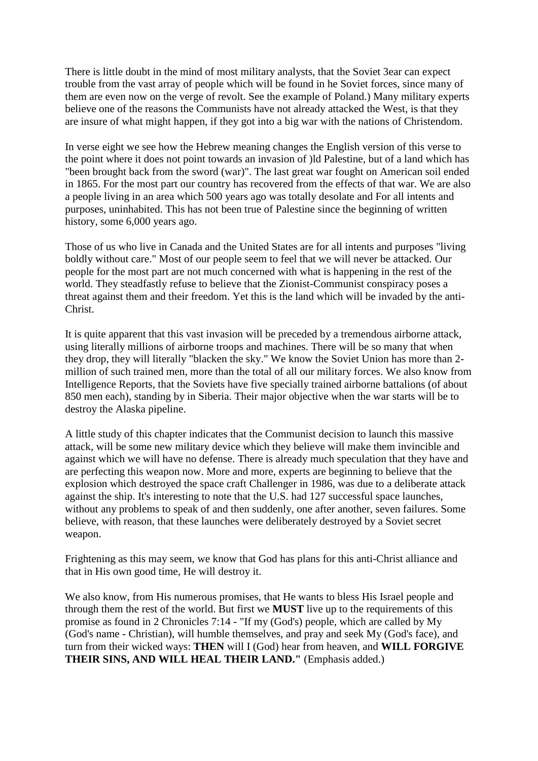There is little doubt in the mind of most military analysts, that the Soviet 3ear can expect trouble from the vast array of people which will be found in he Soviet forces, since many of them are even now on the verge of revolt. See the example of Poland.) Many military experts believe one of the reasons the Communists have not already attacked the West, is that they are insure of what might happen, if they got into a big war with the nations of Christendom.

In verse eight we see how the Hebrew meaning changes the English version of this verse to the point where it does not point towards an invasion of )ld Palestine, but of a land which has "been brought back from the sword (war)". The last great war fought on American soil ended in 1865. For the most part our country has recovered from the effects of that war. We are also a people living in an area which 500 years ago was totally desolate and For all intents and purposes, uninhabited. This has not been true of Palestine since the beginning of written history, some 6,000 years ago.

Those of us who live in Canada and the United States are for all intents and purposes "living boldly without care." Most of our people seem to feel that we will never be attacked. Our people for the most part are not much concerned with what is happening in the rest of the world. They steadfastly refuse to believe that the Zionist-Communist conspiracy poses a threat against them and their freedom. Yet this is the land which will be invaded by the anti-Christ.

It is quite apparent that this vast invasion will be preceded by a tremendous airborne attack, using literally millions of airborne troops and machines. There will be so many that when they drop, they will literally "blacken the sky." We know the Soviet Union has more than 2 million of such trained men, more than the total of all our military forces. We also know from Intelligence Reports, that the Soviets have five specially trained airborne battalions (of about 850 men each), standing by in Siberia. Their major objective when the war starts will be to destroy the Alaska pipeline.

A little study of this chapter indicates that the Communist decision to launch this massive attack, will be some new military device which they believe will make them invincible and against which we will have no defense. There is already much speculation that they have and are perfecting this weapon now. More and more, experts are beginning to believe that the explosion which destroyed the space craft Challenger in 1986, was due to a deliberate attack against the ship. It's interesting to note that the U.S. had 127 successful space launches, without any problems to speak of and then suddenly, one after another, seven failures. Some believe, with reason, that these launches were deliberately destroyed by a Soviet secret weapon.

Frightening as this may seem, we know that God has plans for this anti-Christ alliance and that in His own good time, He will destroy it.

We also know, from His numerous promises, that He wants to bless His Israel people and through them the rest of the world. But first we **MUST** live up to the requirements of this promise as found in 2 Chronicles 7:14 - "If my (God's) people, which are called by My (God's name - Christian), will humble themselves, and pray and seek My (God's face), and turn from their wicked ways: **THEN** will I (God) hear from heaven, and **WILL FORGIVE THEIR SINS, AND WILL HEAL THEIR LAND."** (Emphasis added.)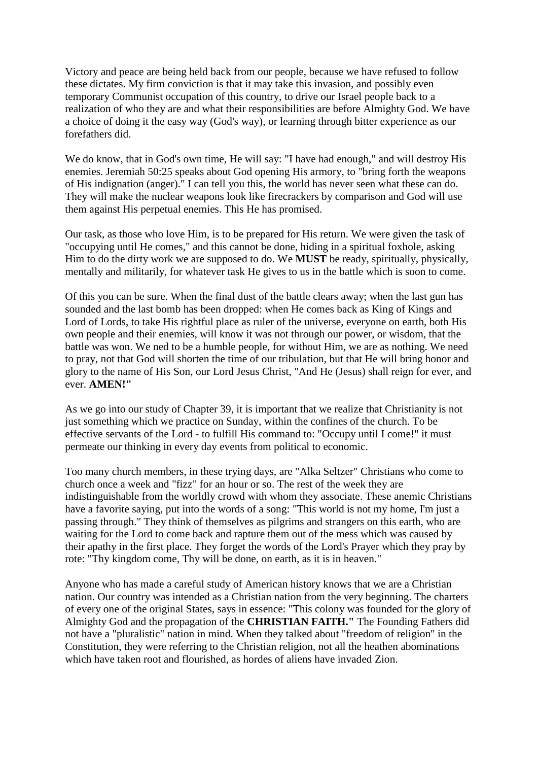Victory and peace are being held back from our people, because we have refused to follow these dictates. My firm conviction is that it may take this invasion, and possibly even temporary Communist occupation of this country, to drive our Israel people back to a realization of who they are and what their responsibilities are before Almighty God. We have a choice of doing it the easy way (God's way), or learning through bitter experience as our forefathers did.

We do know, that in God's own time, He will say: "I have had enough," and will destroy His enemies. Jeremiah 50:25 speaks about God opening His armory, to "bring forth the weapons of His indignation (anger)." I can tell you this, the world has never seen what these can do. They will make the nuclear weapons look like firecrackers by comparison and God will use them against His perpetual enemies. This He has promised.

Our task, as those who love Him, is to be prepared for His return. We were given the task of "occupying until He comes," and this cannot be done, hiding in a spiritual foxhole, asking Him to do the dirty work we are supposed to do. We **MUST** be ready, spiritually, physically, mentally and militarily, for whatever task He gives to us in the battle which is soon to come.

Of this you can be sure. When the final dust of the battle clears away; when the last gun has sounded and the last bomb has been dropped: when He comes back as King of Kings and Lord of Lords, to take His rightful place as ruler of the universe, everyone on earth, both His own people and their enemies, will know it was not through our power, or wisdom, that the battle was won. We ned to be a humble people, for without Him, we are as nothing. We need to pray, not that God will shorten the time of our tribulation, but that He will bring honor and glory to the name of His Son, our Lord Jesus Christ, "And He (Jesus) shall reign for ever, and ever. **AMEN!"**

As we go into our study of Chapter 39, it is important that we realize that Christianity is not just something which we practice on Sunday, within the confines of the church. To be effective servants of the Lord - to fulfill His command to: "Occupy until I come!" it must permeate our thinking in every day events from political to economic.

Too many church members, in these trying days, are "Alka Seltzer" Christians who come to church once a week and "fizz" for an hour or so. The rest of the week they are indistinguishable from the worldly crowd with whom they associate. These anemic Christians have a favorite saying, put into the words of a song: "This world is not my home, I'm just a passing through." They think of themselves as pilgrims and strangers on this earth, who are waiting for the Lord to come back and rapture them out of the mess which was caused by their apathy in the first place. They forget the words of the Lord's Prayer which they pray by rote: "Thy kingdom come, Thy will be done, on earth, as it is in heaven."

Anyone who has made a careful study of American history knows that we are a Christian nation. Our country was intended as a Christian nation from the very beginning. The charters of every one of the original States, says in essence: "This colony was founded for the glory of Almighty God and the propagation of the **CHRISTIAN FAITH."** The Founding Fathers did not have a "pluralistic" nation in mind. When they talked about "freedom of religion" in the Constitution, they were referring to the Christian religion, not all the heathen abominations which have taken root and flourished, as hordes of aliens have invaded Zion.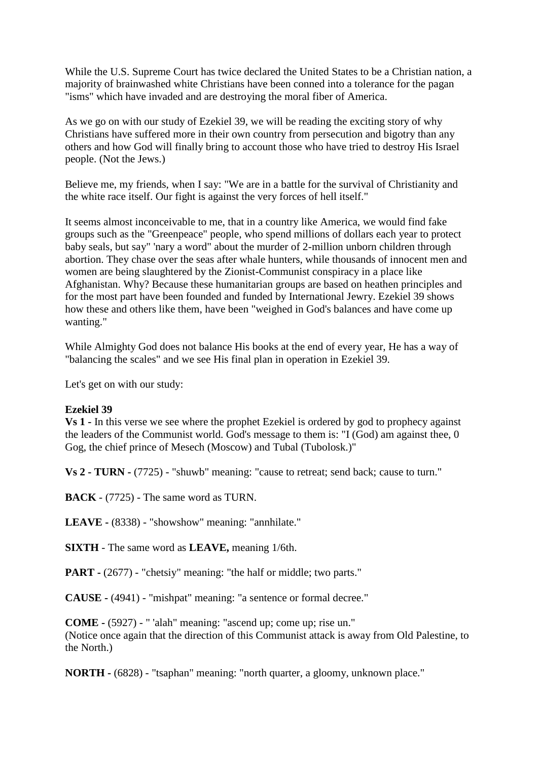While the U.S. Supreme Court has twice declared the United States to be a Christian nation, a majority of brainwashed white Christians have been conned into a tolerance for the pagan "isms" which have invaded and are destroying the moral fiber of America.

As we go on with our study of Ezekiel 39, we will be reading the exciting story of why Christians have suffered more in their own country from persecution and bigotry than any others and how God will finally bring to account those who have tried to destroy His Israel people. (Not the Jews.)

Believe me, my friends, when I say: "We are in a battle for the survival of Christianity and the white race itself. Our fight is against the very forces of hell itself."

It seems almost inconceivable to me, that in a country like America, we would find fake groups such as the "Greenpeace" people, who spend millions of dollars each year to protect baby seals, but say" 'nary a word" about the murder of 2-million unborn children through abortion. They chase over the seas after whale hunters, while thousands of innocent men and women are being slaughtered by the Zionist-Communist conspiracy in a place like Afghanistan. Why? Because these humanitarian groups are based on heathen principles and for the most part have been founded and funded by International Jewry. Ezekiel 39 shows how these and others like them, have been "weighed in God's balances and have come up wanting."

While Almighty God does not balance His books at the end of every year, He has a way of "balancing the scales" and we see His final plan in operation in Ezekiel 39.

Let's get on with our study:

## **Ezekiel 39**

**Vs 1 -** In this verse we see where the prophet Ezekiel is ordered by god to prophecy against the leaders of the Communist world. God's message to them is: "I (God) am against thee, 0 Gog, the chief prince of Mesech (Moscow) and Tubal (Tubolosk.)"

**Vs 2 - TURN -** (7725) - "shuwb" meaning: "cause to retreat; send back; cause to turn."

**BACK** - (7725) - The same word as TURN.

**LEAVE -** (8338) - "showshow" meaning: "annhilate."

**SIXTH** - The same word as **LEAVE,** meaning 1/6th.

**PART -** (2677) - "chetsiy" meaning: "the half or middle; two parts."

**CAUSE -** (4941) - "mishpat" meaning: "a sentence or formal decree."

**COME -** (5927) - " 'alah" meaning: "ascend up; come up; rise un." (Notice once again that the direction of this Communist attack is away from Old Palestine, to the North.)

**NORTH -** (6828) - "tsaphan" meaning: "north quarter, a gloomy, unknown place."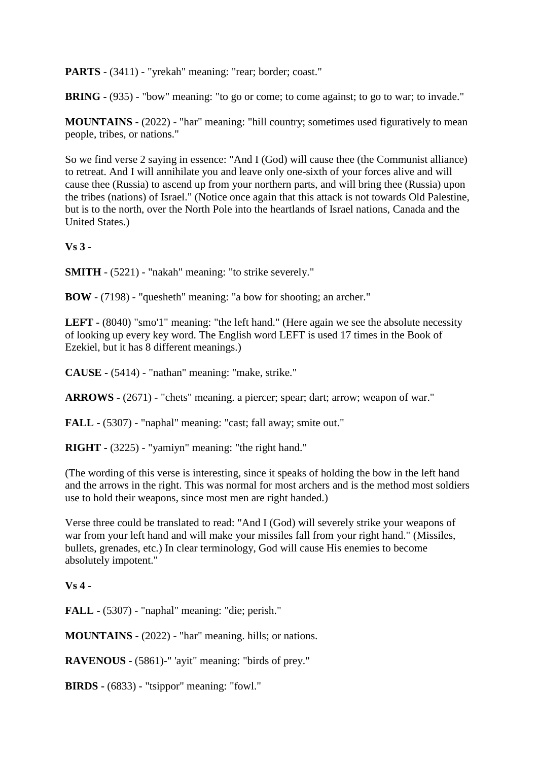PARTS - (3411) - "yrekah" meaning: "rear; border; coast."

**BRING -** (935) - "bow" meaning: "to go or come; to come against; to go to war; to invade."

**MOUNTAINS -** (2022) - "har" meaning: "hill country; sometimes used figuratively to mean people, tribes, or nations."

So we find verse 2 saying in essence: "And I (God) will cause thee (the Communist alliance) to retreat. And I will annihilate you and leave only one-sixth of your forces alive and will cause thee (Russia) to ascend up from your northern parts, and will bring thee (Russia) upon the tribes (nations) of Israel." (Notice once again that this attack is not towards Old Palestine, but is to the north, over the North Pole into the heartlands of Israel nations, Canada and the United States.)

**Vs 3 -**

**SMITH** - (5221) - "nakah" meaning: "to strike severely."

**BOW** - (7198) - "quesheth" meaning: "a bow for shooting; an archer."

LEFT - (8040) "smo'1" meaning: "the left hand." (Here again we see the absolute necessity of looking up every key word. The English word LEFT is used 17 times in the Book of Ezekiel, but it has 8 different meanings.)

**CAUSE -** (5414) - "nathan" meaning: "make, strike."

**ARROWS -** (2671) - "chets" meaning. a piercer; spear; dart; arrow; weapon of war."

**FALL -** (5307) - "naphal" meaning: "cast; fall away; smite out."

**RIGHT -** (3225) - "yamiyn" meaning: "the right hand."

(The wording of this verse is interesting, since it speaks of holding the bow in the left hand and the arrows in the right. This was normal for most archers and is the method most soldiers use to hold their weapons, since most men are right handed.)

Verse three could be translated to read: "And I (God) will severely strike your weapons of war from your left hand and will make your missiles fall from your right hand." (Missiles, bullets, grenades, etc.) In clear terminology, God will cause His enemies to become absolutely impotent."

**Vs 4 -**

**FALL -** (5307) - "naphal" meaning: "die; perish."

**MOUNTAINS -** (2022) - "har" meaning. hills; or nations.

**RAVENOUS -** (5861)-" 'ayit" meaning: "birds of prey."

**BIRDS -** (6833) - "tsippor" meaning: "fowl."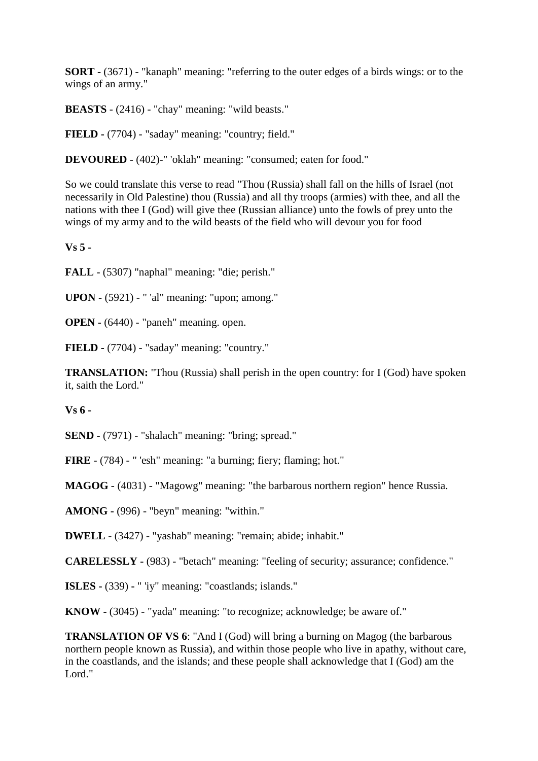**SORT -** (3671) - "kanaph" meaning: "referring to the outer edges of a birds wings: or to the wings of an army."

**BEASTS** - (2416) - "chay" meaning: "wild beasts."

**FIELD -** (7704) - "saday" meaning: "country; field."

**DEVOURED** - (402)-" 'oklah" meaning: "consumed; eaten for food."

So we could translate this verse to read "Thou (Russia) shall fall on the hills of Israel (not necessarily in Old Palestine) thou (Russia) and all thy troops (armies) with thee, and all the nations with thee I (God) will give thee (Russian alliance) unto the fowls of prey unto the wings of my army and to the wild beasts of the field who will devour you for food

**Vs 5 -**

**FALL** - (5307) "naphal" meaning: "die; perish."

**UPON -** (5921) - " 'al" meaning: "upon; among."

**OPEN -** (6440) - "paneh" meaning. open.

**FIELD -** (7704) - "saday" meaning: "country."

**TRANSLATION:** "Thou (Russia) shall perish in the open country: for I (God) have spoken it, saith the Lord."

**Vs 6 -**

**SEND -** (7971) - "shalach" meaning: "bring; spread."

**FIRE** - (784) - " 'esh" meaning: "a burning; fiery; flaming; hot."

**MAGOG** - (4031) - "Magowg" meaning: "the barbarous northern region" hence Russia.

**AMONG -** (996) - "beyn" meaning: "within."

**DWELL** - (3427) - "yashab" meaning: "remain; abide; inhabit."

**CARELESSLY -** (983) - "betach" meaning: "feeling of security; assurance; confidence."

**ISLES -** (339) **-** " 'iy" meaning: "coastlands; islands."

**KNOW -** (3045) - "yada" meaning: "to recognize; acknowledge; be aware of."

**TRANSLATION OF VS 6:** "And I (God) will bring a burning on Magog (the barbarous northern people known as Russia), and within those people who live in apathy, without care, in the coastlands, and the islands; and these people shall acknowledge that I (God) am the Lord."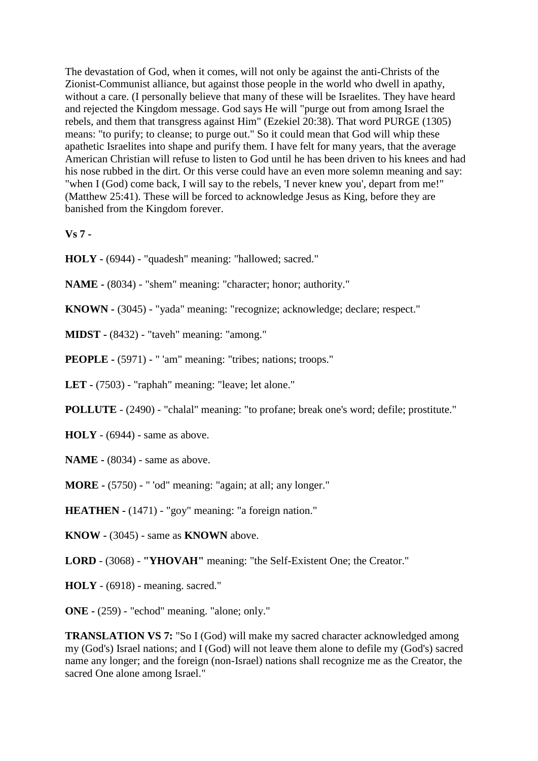The devastation of God, when it comes, will not only be against the anti-Christs of the Zionist-Communist alliance, but against those people in the world who dwell in apathy, without a care. (I personally believe that many of these will be Israelites. They have heard and rejected the Kingdom message. God says He will "purge out from among Israel the rebels, and them that transgress against Him" (Ezekiel 20:38). That word PURGE (1305) means: "to purify; to cleanse; to purge out." So it could mean that God will whip these apathetic Israelites into shape and purify them. I have felt for many years, that the average American Christian will refuse to listen to God until he has been driven to his knees and had his nose rubbed in the dirt. Or this verse could have an even more solemn meaning and say: "when I (God) come back, I will say to the rebels, 'I never knew you', depart from me!" (Matthew 25:41). These will be forced to acknowledge Jesus as King, before they are banished from the Kingdom forever.

**Vs 7 -**

- **HOLY -** (6944) "quadesh" meaning: "hallowed; sacred."
- **NAME -** (8034) "shem" meaning: "character; honor; authority."
- **KNOWN -** (3045) "yada" meaning: "recognize; acknowledge; declare; respect."
- **MIDST -** (8432) "taveh" meaning: "among."
- **PEOPLE -** (5971) " 'am" meaning: "tribes; nations; troops."
- **LET -** (7503) "raphah" meaning: "leave; let alone."
- **POLLUTE**  (2490) "chalal" meaning: "to profane; break one's word; defile; prostitute."
- **HOLY**  (6944) same as above.
- **NAME -** (8034) same as above.
- **MORE -** (5750) " 'od" meaning: "again; at all; any longer."
- **HEATHEN -** (1471) "goy" meaning: "a foreign nation."
- **KNOW -** (3045) same as **KNOWN** above.
- **LORD**  (3068) **"YHOVAH"** meaning: "the Self-Existent One; the Creator."
- **HOLY**  (6918) meaning. sacred."
- **ONE -** (259) "echod" meaning. "alone; only."

**TRANSLATION VS 7:** "So I (God) will make my sacred character acknowledged among my (God's) Israel nations; and I (God) will not leave them alone to defile my (God's) sacred name any longer; and the foreign (non-Israel) nations shall recognize me as the Creator, the sacred One alone among Israel."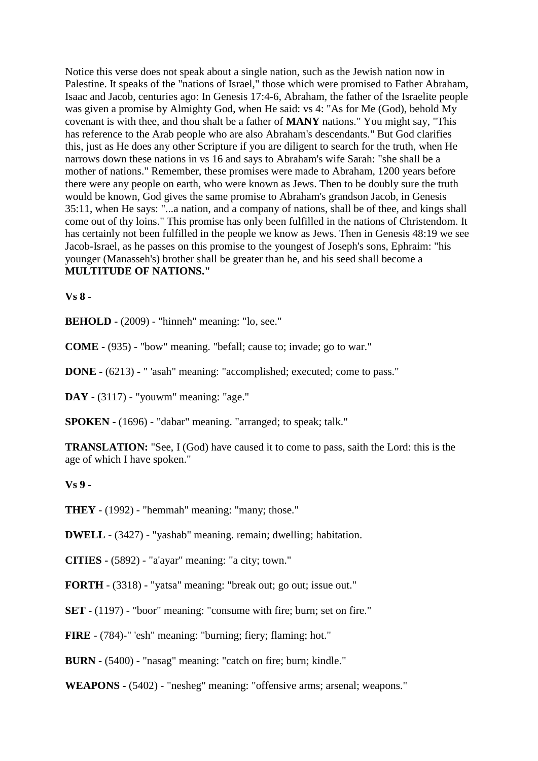Notice this verse does not speak about a single nation, such as the Jewish nation now in Palestine. It speaks of the "nations of Israel," those which were promised to Father Abraham, Isaac and Jacob, centuries ago: In Genesis 17:4-6, Abraham, the father of the Israelite people was given a promise by Almighty God, when He said: vs 4: "As for Me (God), behold My covenant is with thee, and thou shalt be a father of **MANY** nations." You might say, "This has reference to the Arab people who are also Abraham's descendants." But God clarifies this, just as He does any other Scripture if you are diligent to search for the truth, when He narrows down these nations in vs 16 and says to Abraham's wife Sarah: "she shall be a mother of nations." Remember, these promises were made to Abraham, 1200 years before there were any people on earth, who were known as Jews. Then to be doubly sure the truth would be known, God gives the same promise to Abraham's grandson Jacob, in Genesis 35:11, when He says: "...a nation, and a company of nations, shall be of thee, and kings shall come out of thy loins." This promise has only been fulfilled in the nations of Christendom. It has certainly not been fulfilled in the people we know as Jews. Then in Genesis 48:19 we see Jacob-Israel, as he passes on this promise to the youngest of Joseph's sons, Ephraim: "his younger (Manasseh's) brother shall be greater than he, and his seed shall become a **MULTITUDE OF NATIONS."**

**Vs 8 -**

**BEHOLD -** (2009) - "hinneh" meaning: "lo, see."

**COME -** (935) - "bow" meaning. "befall; cause to; invade; go to war."

**DONE -** (6213) **-** " 'asah" meaning: "accomplished; executed; come to pass."

**DAY -** (3117) - "youwm" meaning: "age."

**SPOKEN -** (1696) - "dabar" meaning. "arranged; to speak; talk."

**TRANSLATION:** "See, I (God) have caused it to come to pass, saith the Lord: this is the age of which I have spoken."

**Vs 9 -**

**THEY** - (1992) - "hemmah" meaning: "many; those."

**DWELL** - (3427) - "yashab" meaning. remain; dwelling; habitation.

**CITIES -** (5892) - "a'ayar" meaning: "a city; town."

**FORTH** - (3318) - "yatsa" meaning: "break out; go out; issue out."

**SET** - (1197) - "boor" meaning: "consume with fire; burn; set on fire."

**FIRE** - (784)-" 'esh" meaning: "burning; fiery; flaming; hot."

**BURN -** (5400) - "nasag" meaning: "catch on fire; burn; kindle."

**WEAPONS -** (5402) - "nesheg" meaning: "offensive arms; arsenal; weapons."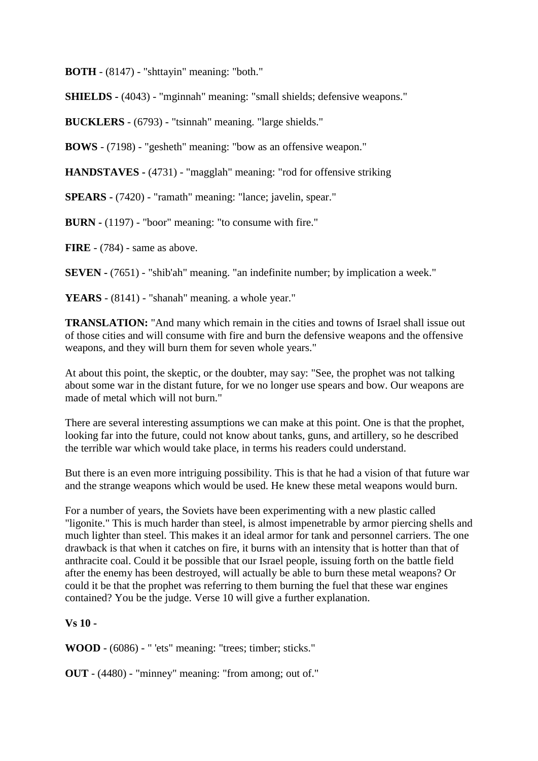**BOTH** - (8147) - "shttayin" meaning: "both."

**SHIELDS -** (4043) - "mginnah" meaning: "small shields; defensive weapons."

**BUCKLERS** - (6793) - "tsinnah" meaning. "large shields."

**BOWS** - (7198) - "gesheth" meaning: "bow as an offensive weapon."

**HANDSTAVES -** (4731) - "magglah" meaning: "rod for offensive striking

**SPEARS -** (7420) - "ramath" meaning: "lance; javelin, spear."

**BURN -** (1197) - "boor" meaning: "to consume with fire."

**FIRE** - (784) - same as above.

**SEVEN -** (7651) - "shib'ah" meaning. "an indefinite number; by implication a week."

**YEARS** - (8141) - "shanah" meaning. a whole year."

**TRANSLATION:** "And many which remain in the cities and towns of Israel shall issue out of those cities and will consume with fire and burn the defensive weapons and the offensive weapons, and they will burn them for seven whole years."

At about this point, the skeptic, or the doubter, may say: "See, the prophet was not talking about some war in the distant future, for we no longer use spears and bow. Our weapons are made of metal which will not burn."

There are several interesting assumptions we can make at this point. One is that the prophet, looking far into the future, could not know about tanks, guns, and artillery, so he described the terrible war which would take place, in terms his readers could understand.

But there is an even more intriguing possibility. This is that he had a vision of that future war and the strange weapons which would be used. He knew these metal weapons would burn.

For a number of years, the Soviets have been experimenting with a new plastic called "ligonite." This is much harder than steel, is almost impenetrable by armor piercing shells and much lighter than steel. This makes it an ideal armor for tank and personnel carriers. The one drawback is that when it catches on fire, it burns with an intensity that is hotter than that of anthracite coal. Could it be possible that our Israel people, issuing forth on the battle field after the enemy has been destroyed, will actually be able to burn these metal weapons? Or could it be that the prophet was referring to them burning the fuel that these war engines contained? You be the judge. Verse 10 will give a further explanation.

#### **Vs 10 -**

**WOOD** - (6086) - " 'ets" meaning: "trees; timber; sticks."

**OUT** - (4480) - "minney" meaning: "from among; out of."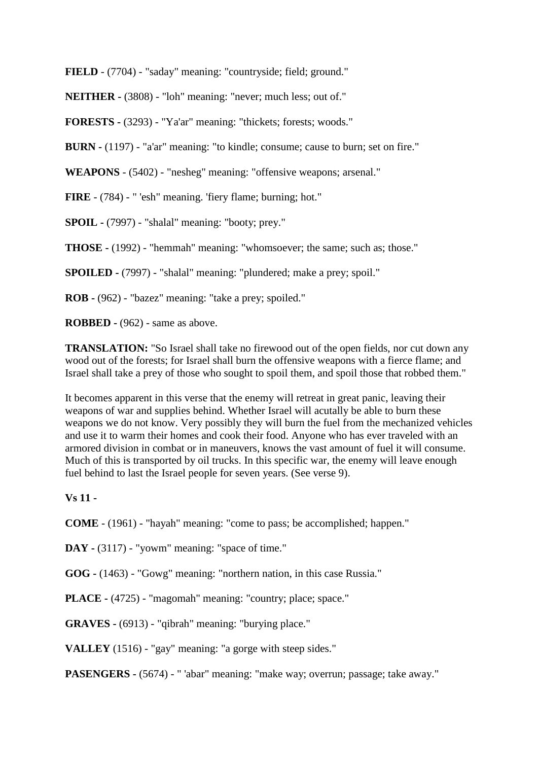**FIELD** - (7704) - "saday" meaning: "countryside; field; ground."

**NEITHER -** (3808) - "loh" meaning: "never; much less; out of."

**FORESTS -** (3293) - "Ya'ar" meaning: "thickets; forests; woods."

**BURN -** (1197) - "a'ar" meaning: "to kindle; consume; cause to burn; set on fire."

**WEAPONS** - (5402) - "nesheg" meaning: "offensive weapons; arsenal."

**FIRE** - (784) - " 'esh" meaning. 'fiery flame; burning; hot."

**SPOIL -** (7997) - "shalal" meaning: "booty; prey."

**THOSE -** (1992) - "hemmah" meaning: "whomsoever; the same; such as; those."

**SPOILED -** (7997) - "shalal" meaning: "plundered; make a prey; spoil."

**ROB -** (962) - "bazez" meaning: "take a prey; spoiled."

**ROBBED -** (962) - same as above.

**TRANSLATION:** "So Israel shall take no firewood out of the open fields, nor cut down any wood out of the forests; for Israel shall burn the offensive weapons with a fierce flame; and Israel shall take a prey of those who sought to spoil them, and spoil those that robbed them."

It becomes apparent in this verse that the enemy will retreat in great panic, leaving their weapons of war and supplies behind. Whether Israel will acutally be able to burn these weapons we do not know. Very possibly they will burn the fuel from the mechanized vehicles and use it to warm their homes and cook their food. Anyone who has ever traveled with an armored division in combat or in maneuvers, knows the vast amount of fuel it will consume. Much of this is transported by oil trucks. In this specific war, the enemy will leave enough fuel behind to last the Israel people for seven years. (See verse 9).

#### **Vs 11 -**

**COME** - (1961) - "hayah" meaning: "come to pass; be accomplished; happen."

DAY - (3117) - "yowm" meaning: "space of time."

**GOG -** (1463) - "Gowg" meaning: "northern nation, in this case Russia."

**PLACE -** (4725) - "magomah" meaning: "country; place; space."

**GRAVES -** (6913) - "qibrah" meaning: "burying place."

**VALLEY** (1516) - "gay" meaning: "a gorge with steep sides."

**PASENGERS -** (5674) - " 'abar" meaning: "make way; overrun; passage; take away."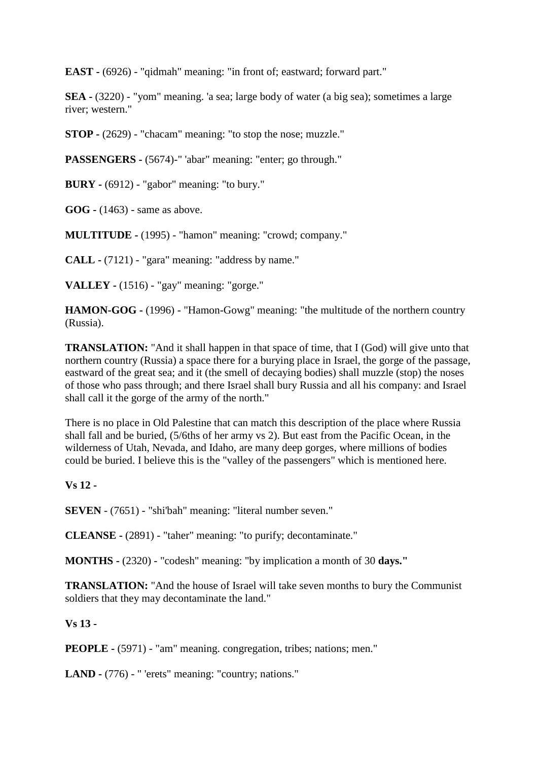**EAST -** (6926) - "qidmah" meaning: "in front of; eastward; forward part."

**SEA -** (3220) - "yom" meaning. 'a sea; large body of water (a big sea); sometimes a large river; western."

**STOP -** (2629) - "chacam" meaning: "to stop the nose; muzzle."

**PASSENGERS -** (5674)-" 'abar" meaning: "enter; go through."

**BURY -** (6912) - "gabor" meaning: "to bury."

**GOG -** (1463) - same as above.

**MULTITUDE -** (1995) - "hamon" meaning: "crowd; company."

**CALL -** (7121) - "gara" meaning: "address by name."

**VALLEY -** (1516) - "gay" meaning: "gorge."

**HAMON-GOG -** (1996) - "Hamon-Gowg" meaning: "the multitude of the northern country (Russia).

**TRANSLATION:** "And it shall happen in that space of time, that I (God) will give unto that northern country (Russia) a space there for a burying place in Israel, the gorge of the passage, eastward of the great sea; and it (the smell of decaying bodies) shall muzzle (stop) the noses of those who pass through; and there Israel shall bury Russia and all his company: and Israel shall call it the gorge of the army of the north."

There is no place in Old Palestine that can match this description of the place where Russia shall fall and be buried, (5/6ths of her army vs 2). But east from the Pacific Ocean, in the wilderness of Utah, Nevada, and Idaho, are many deep gorges, where millions of bodies could be buried. I believe this is the "valley of the passengers" which is mentioned here.

#### **Vs 12 -**

**SEVEN** - (7651) - "shi'bah" meaning: "literal number seven."

**CLEANSE -** (2891) - "taher" meaning: "to purify; decontaminate."

**MONTHS -** (2320) - "codesh" meaning: "by implication a month of 30 **days."**

**TRANSLATION:** "And the house of Israel will take seven months to bury the Communist soldiers that they may decontaminate the land."

## **Vs 13 -**

**PEOPLE -** (5971) - "am" meaning. congregation, tribes; nations; men."

**LAND -** (776) - " 'erets" meaning: "country; nations."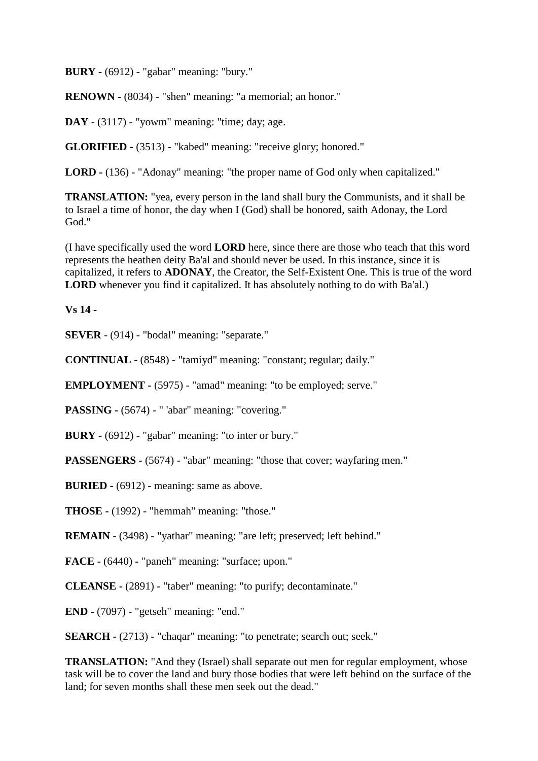**BURY -** (6912) - "gabar" meaning: "bury."

**RENOWN -** (8034) - "shen" meaning: "a memorial; an honor."

**DAY** - (3117) - "yowm" meaning: "time; day; age.

**GLORIFIED -** (3513) - "kabed" meaning: "receive glory; honored."

**LORD -** (136) - "Adonay" meaning: "the proper name of God only when capitalized."

**TRANSLATION:** "yea, every person in the land shall bury the Communists, and it shall be to Israel a time of honor, the day when I (God) shall be honored, saith Adonay, the Lord God."

(I have specifically used the word **LORD** here, since there are those who teach that this word represents the heathen deity Ba'al and should never be used. In this instance, since it is capitalized, it refers to **ADONAY**, the Creator, the Self-Existent One. This is true of the word **LORD** whenever you find it capitalized. It has absolutely nothing to do with Ba'al.)

#### **Vs 14 -**

**SEVER** - (914) - "bodal" meaning: "separate."

**CONTINUAL -** (8548) - "tamiyd" meaning: "constant; regular; daily."

**EMPLOYMENT -** (5975) - "amad" meaning: "to be employed; serve."

**PASSING -** (5674) - " 'abar" meaning: "covering."

**BURY -** (6912) - "gabar" meaning: "to inter or bury."

**PASSENGERS -** (5674) - "abar" meaning: "those that cover; wayfaring men."

**BURIED -** (6912) - meaning: same as above.

**THOSE -** (1992) - "hemmah" meaning: "those."

**REMAIN -** (3498) - "yathar" meaning: "are left; preserved; left behind."

**FACE -** (6440) **-** "paneh" meaning: "surface; upon."

**CLEANSE -** (2891) - "taber" meaning: "to purify; decontaminate."

**END -** (7097) - "getseh" meaning: "end."

**SEARCH -** (2713) - "chaqar" meaning: "to penetrate; search out; seek."

**TRANSLATION:** "And they (Israel) shall separate out men for regular employment, whose task will be to cover the land and bury those bodies that were left behind on the surface of the land; for seven months shall these men seek out the dead."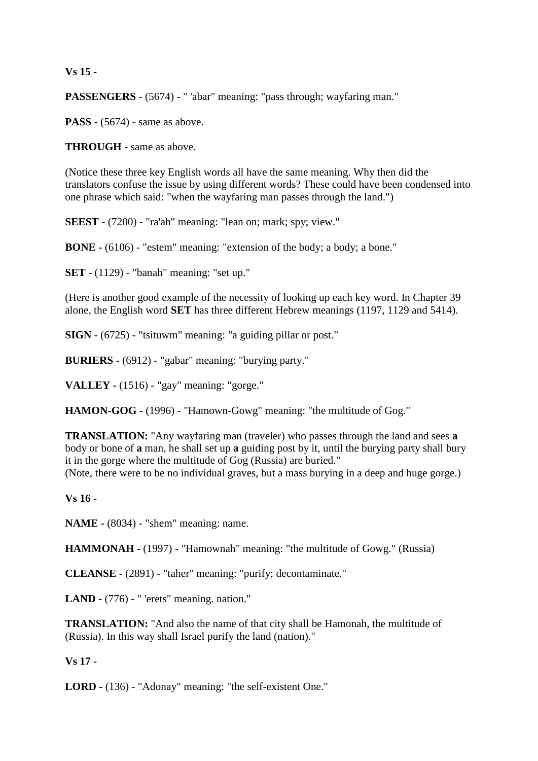### **Vs 15 -**

**PASSENGERS** - (5674) - " 'abar" meaning: "pass through; wayfaring man."

**PASS** - (5674) - same as above.

**THROUGH -** same as above.

(Notice these three key English words all have the same meaning. Why then did the translators confuse the issue by using different words? These could have been condensed into one phrase which said: "when the wayfaring man passes through the land.")

**SEEST -** (7200) - "ra'ah" meaning: "lean on; mark; spy; view."

**BONE -** (6106) - "estem" meaning: "extension of the body; a body; a bone."

**SET -** (1129) - "banah" meaning: "set up."

(Here is another good example of the necessity of looking up each key word. In Chapter 39 alone, the English word **SET** has three different Hebrew meanings (1197, 1129 and 5414).

**SIGN -** (6725) - "tsituwm" meaning: "a guiding pillar or post."

**BURIERS -** (6912) - "gabar" meaning: "burying party."

**VALLEY -** (1516) - "gay" meaning: "gorge."

**HAMON-GOG -** (1996) - "Hamown-Gowg" meaning: "the multitude of Gog."

**TRANSLATION:** "Any wayfaring man (traveler) who passes through the land and sees **a**  body or bone of **a** man, he shall set up **a** guiding post by it, until the burying party shall bury it in the gorge where the multitude of Gog (Russia) are buried."

(Note, there were to be no individual graves, but a mass burying in a deep and huge gorge.)

## **Vs 16 -**

**NAME -** (8034) - "shem" meaning: name.

**HAMMONAH -** (1997) - "Hamownah" meaning: "the multitude of Gowg." (Russia)

**CLEANSE -** (2891) - "taher" meaning: "purify; decontaminate."

**LAND -** (776) - " 'erets" meaning. nation."

**TRANSLATION:** "And also the name of that city shall be Hamonah, the multitude of (Russia). In this way shall Israel purify the land (nation)."

## **Vs 17 -**

**LORD -** (136) - "Adonay" meaning: "the self-existent One."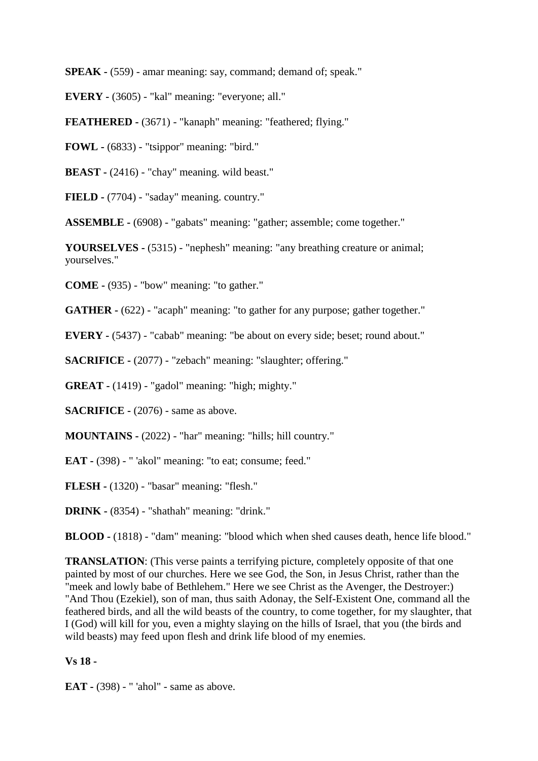**SPEAK -** (559) - amar meaning: say, command; demand of; speak."

**EVERY -** (3605) - "kal" meaning: "everyone; all."

**FEATHERED -** (3671) - "kanaph" meaning: "feathered; flying."

**FOWL -** (6833) - "tsippor" meaning: "bird."

**BEAST -** (2416) - "chay" meaning. wild beast."

**FIELD -** (7704) - "saday" meaning. country."

**ASSEMBLE -** (6908) - "gabats" meaning: "gather; assemble; come together."

**YOURSELVES -** (5315) - "nephesh" meaning: "any breathing creature or animal; yourselves."

**COME -** (935) - "bow" meaning: "to gather."

**GATHER -** (622) - "acaph" meaning: "to gather for any purpose; gather together."

**EVERY -** (5437) - "cabab" meaning: "be about on every side; beset; round about."

**SACRIFICE -** (2077) - "zebach" meaning: "slaughter; offering."

**GREAT -** (1419) - "gadol" meaning: "high; mighty."

**SACRIFICE -** (2076) - same as above.

**MOUNTAINS -** (2022) - "har" meaning: "hills; hill country."

**EAT -** (398) - " 'akol" meaning: "to eat; consume; feed."

**FLESH -** (1320) - "basar" meaning: "flesh."

**DRINK -** (8354) - "shathah" meaning: "drink."

**BLOOD -** (1818) - "dam" meaning: "blood which when shed causes death, hence life blood."

**TRANSLATION:** (This verse paints a terrifying picture, completely opposite of that one painted by most of our churches. Here we see God, the Son, in Jesus Christ, rather than the "meek and lowly babe of Bethlehem." Here we see Christ as the Avenger, the Destroyer:) "And Thou (Ezekiel), son of man, thus saith Adonay, the Self-Existent One, command all the feathered birds, and all the wild beasts of the country, to come together, for my slaughter, that I (God) will kill for you, even a mighty slaying on the hills of Israel, that you (the birds and wild beasts) may feed upon flesh and drink life blood of my enemies.

## **Vs 18 -**

**EAT -** (398) - " 'ahol" - same as above.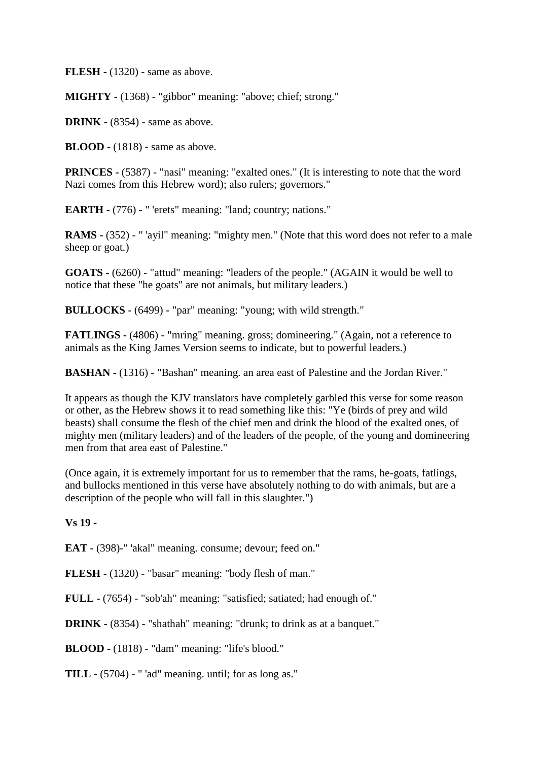**FLESH -** (1320) - same as above.

**MIGHTY -** (1368) - "gibbor" meaning: "above; chief; strong."

**DRINK -** (8354) - same as above.

**BLOOD -** (1818) - same as above.

**PRINCES -** (5387) - "nasi" meaning: "exalted ones." (It is interesting to note that the word Nazi comes from this Hebrew word); also rulers; governors."

**EARTH -** (776) - " 'erets" meaning: "land; country; nations."

**RAMS -** (352) - " 'ayil" meaning: "mighty men." (Note that this word does not refer to a male sheep or goat.)

**GOATS -** (6260) - "attud" meaning: "leaders of the people." (AGAIN it would be well to notice that these "he goats" are not animals, but military leaders.)

**BULLOCKS -** (6499) - "par" meaning: "young; with wild strength."

**FATLINGS -** (4806) - "mring" meaning. gross; domineering." (Again, not a reference to animals as the King James Version seems to indicate, but to powerful leaders.)

**BASHAN -** (1316) - "Bashan" meaning. an area east of Palestine and the Jordan River."

It appears as though the KJV translators have completely garbled this verse for some reason or other, as the Hebrew shows it to read something like this: "Ye (birds of prey and wild beasts) shall consume the flesh of the chief men and drink the blood of the exalted ones, of mighty men (military leaders) and of the leaders of the people, of the young and domineering men from that area east of Palestine."

(Once again, it is extremely important for us to remember that the rams, he-goats, fatlings, and bullocks mentioned in this verse have absolutely nothing to do with animals, but are a description of the people who will fall in this slaughter.")

**Vs 19 -**

**EAT -** (398)-" 'akal" meaning. consume; devour; feed on."

**FLESH -** (1320) - "basar" meaning: "body flesh of man."

**FULL -** (7654) - "sob'ah" meaning: "satisfied; satiated; had enough of."

**DRINK -** (8354) - "shathah" meaning: "drunk; to drink as at a banquet."

**BLOOD -** (1818) - "dam" meaning: "life's blood."

**TILL -** (5704) - " 'ad" meaning. until; for as long as."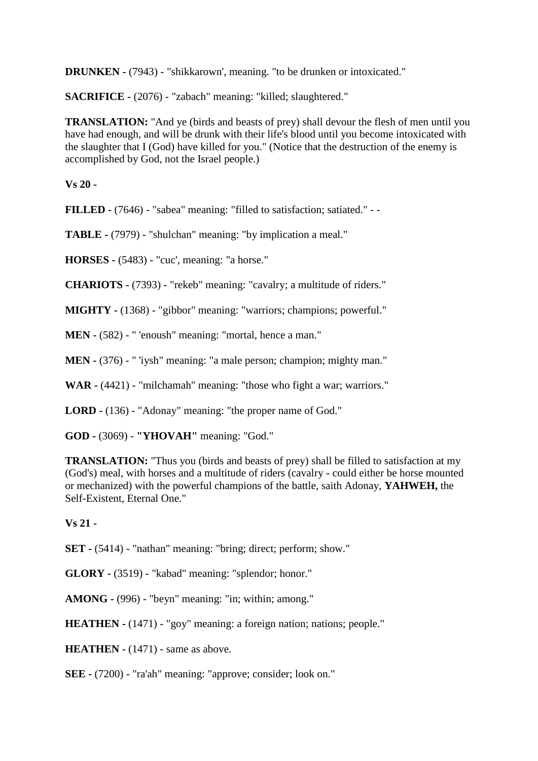**DRUNKEN -** (7943) - "shikkarown', meaning. "to be drunken or intoxicated."

**SACRIFICE -** (2076) - "zabach" meaning: "killed; slaughtered."

**TRANSLATION:** "And ye (birds and beasts of prey) shall devour the flesh of men until you have had enough, and will be drunk with their life's blood until you become intoxicated with the slaughter that I (God) have killed for you." (Notice that the destruction of the enemy is accomplished by God, not the Israel people.)

**Vs 20 -**

**FILLED -** (7646) - "sabea" meaning: "filled to satisfaction; satiated." - -

**TABLE -** (7979) - "shulchan" meaning: "by implication a meal."

**HORSES -** (5483) - "cuc', meaning: "a horse."

**CHARIOTS -** (7393) - "rekeb" meaning: "cavalry; a multitude of riders."

**MIGHTY -** (1368) - "gibbor" meaning: "warriors; champions; powerful."

**MEN** - (582) - " 'enoush" meaning: "mortal, hence a man."

**MEN -** (376) - " 'iysh" meaning: "a male person; champion; mighty man."

**WAR -** (4421) - "milchamah" meaning: "those who fight a war; warriors."

**LORD -** (136) - "Adonay" meaning: "the proper name of God."

**GOD -** (3069) - **"YHOVAH"** meaning: "God."

**TRANSLATION:** "Thus you (birds and beasts of prey) shall be filled to satisfaction at my (God's) meal, with horses and a multitude of riders (cavalry - could either be horse mounted or mechanized) with the powerful champions of the battle, saith Adonay, **YAHWEH,** the Self-Existent, Eternal One."

**Vs 21 -**

**SET** - (5414) - "nathan" meaning: "bring; direct; perform; show."

**GLORY -** (3519) - "kabad" meaning: "splendor; honor."

**AMONG -** (996) - "beyn" meaning: "in; within; among."

**HEATHEN -** (1471) - "goy" meaning: a foreign nation; nations; people."

**HEATHEN -** (1471) - same as above.

**SEE -** (7200) - "ra'ah" meaning: "approve; consider; look on."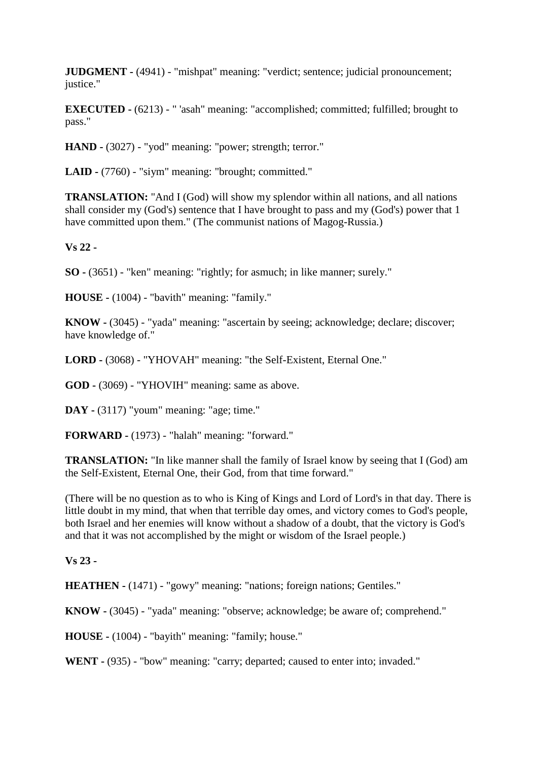**JUDGMENT -** (4941) - "mishpat" meaning: "verdict; sentence; judicial pronouncement; justice."

**EXECUTED -** (6213) - " 'asah" meaning: "accomplished; committed; fulfilled; brought to pass."

**HAND -** (3027) - "yod" meaning: "power; strength; terror."

**LAID -** (7760) - "siym" meaning: "brought; committed."

**TRANSLATION:** "And I (God) will show my splendor within all nations, and all nations shall consider my (God's) sentence that I have brought to pass and my (God's) power that 1 have committed upon them." (The communist nations of Magog-Russia.)

**Vs 22 -**

**SO -** (3651) - "ken" meaning: "rightly; for asmuch; in like manner; surely."

**HOUSE -** (1004) - "bavith" meaning: "family."

**KNOW -** (3045) - "yada" meaning: "ascertain by seeing; acknowledge; declare; discover; have knowledge of."

**LORD -** (3068) - "YHOVAH" meaning: "the Self-Existent, Eternal One."

**GOD -** (3069) - "YHOVIH" meaning: same as above.

**DAY -** (3117) "youm" meaning: "age; time."

**FORWARD -** (1973) - "halah" meaning: "forward."

**TRANSLATION:** "In like manner shall the family of Israel know by seeing that I (God) am the Self-Existent, Eternal One, their God, from that time forward."

(There will be no question as to who is King of Kings and Lord of Lord's in that day. There is little doubt in my mind, that when that terrible day omes, and victory comes to God's people, both Israel and her enemies will know without a shadow of a doubt, that the victory is God's and that it was not accomplished by the might or wisdom of the Israel people.)

#### **Vs 23 -**

**HEATHEN -** (1471) - "gowy" meaning: "nations; foreign nations; Gentiles."

**KNOW -** (3045) - "yada" meaning: "observe; acknowledge; be aware of; comprehend."

**HOUSE -** (1004) - "bayith" meaning: "family; house."

**WENT -** (935) - "bow" meaning: "carry; departed; caused to enter into; invaded."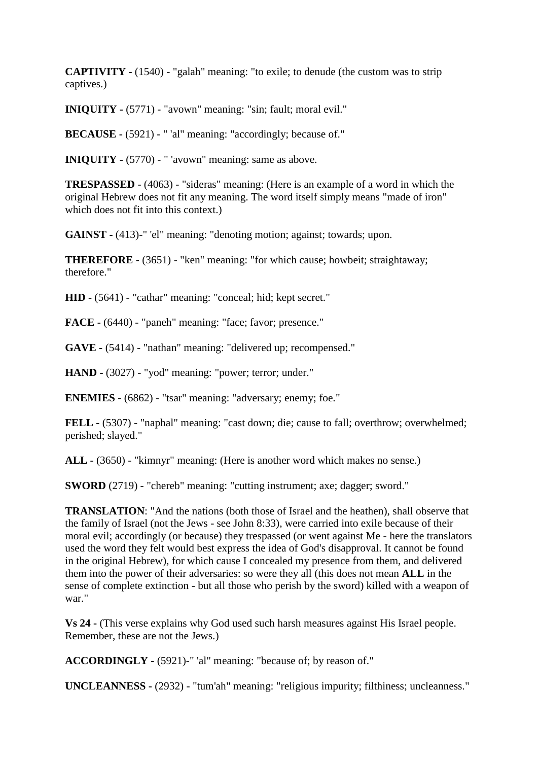**CAPTIVITY -** (1540) - "galah" meaning: "to exile; to denude (the custom was to strip captives.)

**INIQUITY -** (5771) - "avown" meaning: "sin; fault; moral evil."

**BECAUSE -** (5921) - " 'al" meaning: "accordingly; because of."

**INIQUITY -** (5770) - " 'avown" meaning: same as above.

**TRESPASSED** - (4063) - "sideras" meaning: (Here is an example of a word in which the original Hebrew does not fit any meaning. The word itself simply means "made of iron" which does not fit into this context.)

**GAINST -** (413)-" 'el" meaning: "denoting motion; against; towards; upon.

**THEREFORE -** (3651) - "ken" meaning: "for which cause; howbeit; straightaway; therefore."

**HID -** (5641) - "cathar" meaning: "conceal; hid; kept secret."

**FACE -** (6440) - "paneh" meaning: "face; favor; presence."

**GAVE -** (5414) - "nathan" meaning: "delivered up; recompensed."

**HAND -** (3027) - "yod" meaning: "power; terror; under."

**ENEMIES -** (6862) - "tsar" meaning: "adversary; enemy; foe."

**FELL -** (5307) - "naphal" meaning: "cast down; die; cause to fall; overthrow; overwhelmed; perished; slayed."

**ALL -** (3650) - "kimnyr" meaning: (Here is another word which makes no sense.)

**SWORD** (2719) - "chereb" meaning: "cutting instrument; axe; dagger; sword."

**TRANSLATION**: "And the nations (both those of Israel and the heathen), shall observe that the family of Israel (not the Jews - see John 8:33), were carried into exile because of their moral evil; accordingly (or because) they trespassed (or went against Me - here the translators used the word they felt would best express the idea of God's disapproval. It cannot be found in the original Hebrew), for which cause I concealed my presence from them, and delivered them into the power of their adversaries: so were they all (this does not mean **ALL** in the sense of complete extinction - but all those who perish by the sword) killed with a weapon of war."

**Vs 24 -** (This verse explains why God used such harsh measures against His Israel people. Remember, these are not the Jews.)

**ACCORDINGLY -** (5921)-" 'al" meaning: "because of; by reason of."

**UNCLEANNESS -** (2932) - "tum'ah" meaning: "religious impurity; filthiness; uncleanness."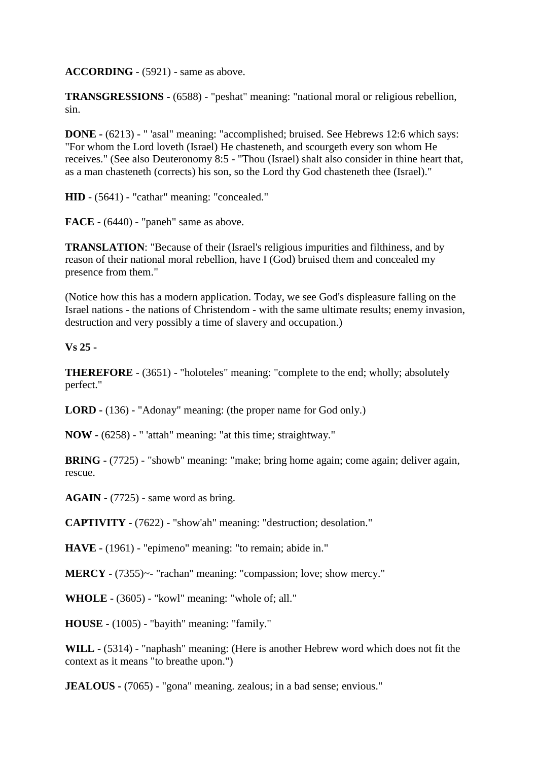**ACCORDING** - (5921) - same as above.

**TRANSGRESSIONS -** (6588) - "peshat" meaning: "national moral or religious rebellion, sin.

**DONE -** (6213) - " 'asal" meaning: "accomplished; bruised. See Hebrews 12:6 which says: "For whom the Lord loveth (Israel) He chasteneth, and scourgeth every son whom He receives." (See also Deuteronomy 8:5 - "Thou (Israel) shalt also consider in thine heart that, as a man chasteneth (corrects) his son, so the Lord thy God chasteneth thee (Israel)."

**HID** - (5641) - "cathar" meaning: "concealed."

**FACE -** (6440) - "paneh" same as above.

**TRANSLATION**: "Because of their (Israel's religious impurities and filthiness, and by reason of their national moral rebellion, have I (God) bruised them and concealed my presence from them."

(Notice how this has a modern application. Today, we see God's displeasure falling on the Israel nations - the nations of Christendom - with the same ultimate results; enemy invasion, destruction and very possibly a time of slavery and occupation.)

**Vs 25 -**

**THEREFORE** - (3651) - "holoteles" meaning: "complete to the end; wholly; absolutely perfect."

**LORD -** (136) - "Adonay" meaning: (the proper name for God only.)

**NOW -** (6258) - " 'attah" meaning: "at this time; straightway."

**BRING -** (7725) - "showb" meaning: "make; bring home again; come again; deliver again, rescue.

**AGAIN -** (7725) - same word as bring.

**CAPTIVITY -** (7622) - "show'ah" meaning: "destruction; desolation."

**HAVE -** (1961) - "epimeno" meaning: "to remain; abide in."

**MERCY** - (7355)~- "rachan" meaning: "compassion; love; show mercy."

**WHOLE -** (3605) - "kowl" meaning: "whole of; all."

**HOUSE -** (1005) - "bayith" meaning: "family."

**WILL -** (5314) - "naphash" meaning: (Here is another Hebrew word which does not fit the context as it means "to breathe upon.")

**JEALOUS -** (7065) - "gona" meaning. zealous; in a bad sense; envious."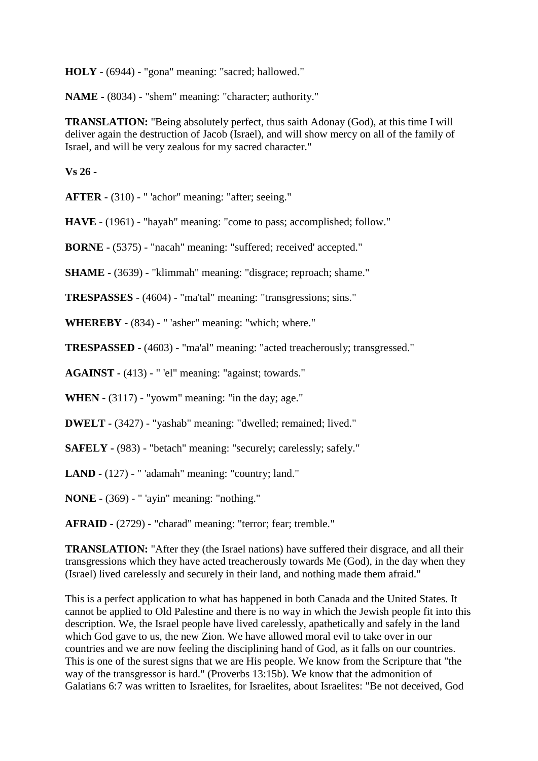**HOLY** - (6944) - "gona" meaning: "sacred; hallowed."

**NAME -** (8034) - "shem" meaning: "character; authority."

**TRANSLATION:** "Being absolutely perfect, thus saith Adonay (God), at this time I will deliver again the destruction of Jacob (Israel), and will show mercy on all of the family of Israel, and will be very zealous for my sacred character."

**Vs 26 -**

**AFTER -** (310) - " 'achor" meaning: "after; seeing."

**HAVE** - (1961) - "hayah" meaning: "come to pass; accomplished; follow."

**BORNE -** (5375) - "nacah" meaning: "suffered; received' accepted."

**SHAME -** (3639) - "klimmah" meaning: "disgrace; reproach; shame."

**TRESPASSES** - (4604) - "ma'tal" meaning: "transgressions; sins."

**WHEREBY -** (834) - " 'asher" meaning: "which; where."

**TRESPASSED -** (4603) - "ma'al" meaning: "acted treacherously; transgressed."

**AGAINST -** (413) - " 'el" meaning: "against; towards."

**WHEN -** (3117) - "yowm" meaning: "in the day; age."

**DWELT -** (3427) - "yashab" meaning: "dwelled; remained; lived."

**SAFELY -** (983) - "betach" meaning: "securely; carelessly; safely."

**LAND -** (127) - " 'adamah" meaning: "country; land."

**NONE -** (369) - " 'ayin" meaning: "nothing."

**AFRAID -** (2729) - "charad" meaning: "terror; fear; tremble."

**TRANSLATION:** "After they (the Israel nations) have suffered their disgrace, and all their transgressions which they have acted treacherously towards Me (God), in the day when they (Israel) lived carelessly and securely in their land, and nothing made them afraid."

This is a perfect application to what has happened in both Canada and the United States. It cannot be applied to Old Palestine and there is no way in which the Jewish people fit into this description. We, the Israel people have lived carelessly, apathetically and safely in the land which God gave to us, the new Zion. We have allowed moral evil to take over in our countries and we are now feeling the disciplining hand of God, as it falls on our countries. This is one of the surest signs that we are His people. We know from the Scripture that "the way of the transgressor is hard." (Proverbs 13:15b). We know that the admonition of Galatians 6:7 was written to Israelites, for Israelites, about Israelites: "Be not deceived, God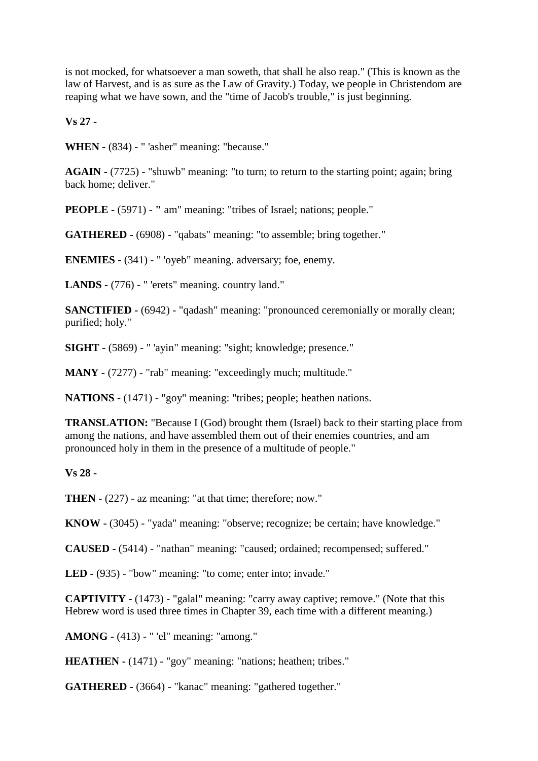is not mocked, for whatsoever a man soweth, that shall he also reap." (This is known as the law of Harvest, and is as sure as the Law of Gravity.) Today, we people in Christendom are reaping what we have sown, and the "time of Jacob's trouble," is just beginning.

**Vs 27 -**

**WHEN -** (834) - " 'asher" meaning: "because."

**AGAIN -** (7725) - "shuwb" meaning: "to turn; to return to the starting point; again; bring back home; deliver."

**PEOPLE -** (5971) - " am" meaning: "tribes of Israel; nations; people."

**GATHERED -** (6908) - "qabats" meaning: "to assemble; bring together."

**ENEMIES -** (341) - " 'oyeb" meaning. adversary; foe, enemy.

**LANDS -** (776) - " 'erets" meaning. country land."

**SANCTIFIED -** (6942) - "qadash" meaning: "pronounced ceremonially or morally clean; purified; holy."

**SIGHT -** (5869) - " 'ayin" meaning: "sight; knowledge; presence."

**MANY -** (7277) - "rab" meaning: "exceedingly much; multitude."

**NATIONS -** (1471) - "goy" meaning: "tribes; people; heathen nations.

**TRANSLATION:** "Because I (God) brought them (Israel) back to their starting place from among the nations, and have assembled them out of their enemies countries, and am pronounced holy in them in the presence of a multitude of people."

**Vs 28 -**

**THEN -** (227) - az meaning: "at that time; therefore; now."

**KNOW -** (3045) - "yada" meaning: "observe; recognize; be certain; have knowledge."

**CAUSED -** (5414) - "nathan" meaning: "caused; ordained; recompensed; suffered."

**LED -** (935) - "bow" meaning: "to come; enter into; invade."

**CAPTIVITY -** (1473) - "galal" meaning: "carry away captive; remove." (Note that this Hebrew word is used three times in Chapter 39, each time with a different meaning.)

**AMONG -** (413) - " 'el" meaning: "among."

**HEATHEN -** (1471) - "goy" meaning: "nations; heathen; tribes."

**GATHERED -** (3664) - "kanac" meaning: "gathered together."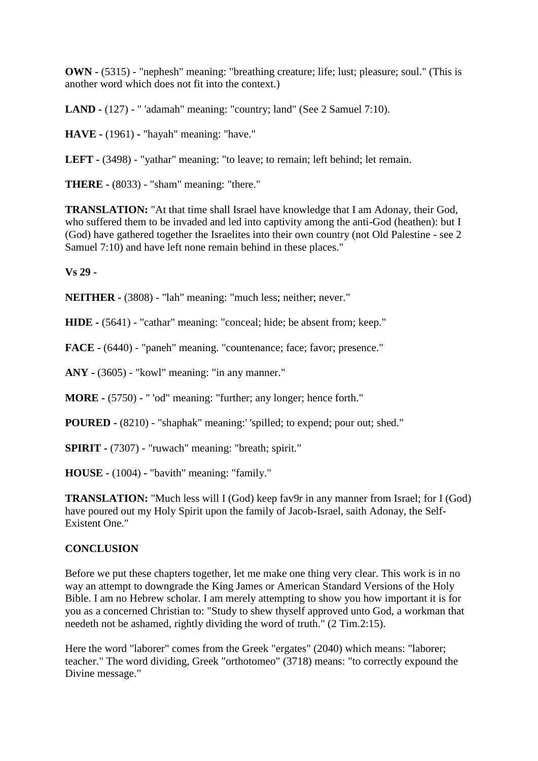**OWN -** (5315) - "nephesh" meaning: "breathing creature; life; lust; pleasure; soul." (This is another word which does not fit into the context.)

**LAND -** (127) - " 'adamah" meaning: "country; land" (See 2 Samuel 7:10).

**HAVE -** (1961) **-** "hayah" meaning: "have."

**LEFT -** (3498) - "yathar" meaning: "to leave; to remain; left behind; let remain.

**THERE -** (8033) - "sham" meaning: "there."

**TRANSLATION:** "At that time shall Israel have knowledge that I am Adonay, their God, who suffered them to be invaded and led into captivity among the anti-God (heathen): but I (God) have gathered together the Israelites into their own country (not Old Palestine - see 2 Samuel 7:10) and have left none remain behind in these places."

**Vs 29 -**

**NEITHER -** (3808) - "lah" meaning: "much less; neither; never."

**HIDE -** (5641) - "cathar" meaning: "conceal; hide; be absent from; keep."

**FACE -** (6440) - "paneh" meaning. "countenance; face; favor; presence."

**ANY -** (3605) - "kowl" meaning: "in any manner."

**MORE -** (5750) - " 'od" meaning: "further; any longer; hence forth."

**POURED -** (8210) - "shaphak" meaning:' 'spilled; to expend; pour out; shed."

**SPIRIT -** (7307) - "ruwach" meaning: "breath; spirit."

**HOUSE -** (1004) **-** "bavith" meaning: "family."

**TRANSLATION:** "Much less will I (God) keep fav9r in any manner from Israel; for I (God) have poured out my Holy Spirit upon the family of Jacob-Israel, saith Adonay, the Self-Existent One."

#### **CONCLUSION**

Before we put these chapters together, let me make one thing very clear. This work is in no way an attempt to downgrade the King James or American Standard Versions of the Holy Bible. I am no Hebrew scholar. I am merely attempting to show you how important it is for you as a concerned Christian to: "Study to shew thyself approved unto God, a workman that needeth not be ashamed, rightly dividing the word of truth." (2 Tim.2:15).

Here the word "laborer" comes from the Greek "ergates" (2040) which means: "laborer; teacher." The word dividing, Greek "orthotomeo" (3718) means: "to correctly expound the Divine message."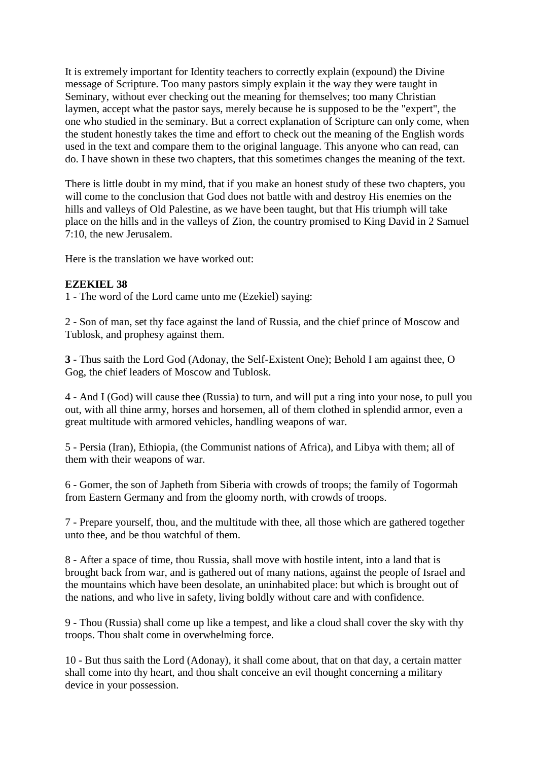It is extremely important for Identity teachers to correctly explain (expound) the Divine message of Scripture. Too many pastors simply explain it the way they were taught in Seminary, without ever checking out the meaning for themselves; too many Christian laymen, accept what the pastor says, merely because he is supposed to be the "expert", the one who studied in the seminary. But a correct explanation of Scripture can only come, when the student honestly takes the time and effort to check out the meaning of the English words used in the text and compare them to the original language. This anyone who can read, can do. I have shown in these two chapters, that this sometimes changes the meaning of the text.

There is little doubt in my mind, that if you make an honest study of these two chapters, you will come to the conclusion that God does not battle with and destroy His enemies on the hills and valleys of Old Palestine, as we have been taught, but that His triumph will take place on the hills and in the valleys of Zion, the country promised to King David in 2 Samuel 7:10, the new Jerusalem.

Here is the translation we have worked out:

## **EZEKIEL 38**

1 - The word of the Lord came unto me (Ezekiel) saying:

2 - Son of man, set thy face against the land of Russia, and the chief prince of Moscow and Tublosk, and prophesy against them.

**3 -** Thus saith the Lord God (Adonay, the Self-Existent One); Behold I am against thee, O Gog, the chief leaders of Moscow and Tublosk.

4 - And I (God) will cause thee (Russia) to turn, and will put a ring into your nose, to pull you out, with all thine army, horses and horsemen, all of them clothed in splendid armor, even a great multitude with armored vehicles, handling weapons of war.

5 - Persia (Iran), Ethiopia, (the Communist nations of Africa), and Libya with them; all of them with their weapons of war.

6 - Gomer, the son of Japheth from Siberia with crowds of troops; the family of Togormah from Eastern Germany and from the gloomy north, with crowds of troops.

7 - Prepare yourself, thou, and the multitude with thee, all those which are gathered together unto thee, and be thou watchful of them.

8 - After a space of time, thou Russia, shall move with hostile intent, into a land that is brought back from war, and is gathered out of many nations, against the people of Israel and the mountains which have been desolate, an uninhabited place: but which is brought out of the nations, and who live in safety, living boldly without care and with confidence.

9 - Thou (Russia) shall come up like a tempest, and like a cloud shall cover the sky with thy troops. Thou shalt come in overwhelming force.

10 - But thus saith the Lord (Adonay), it shall come about, that on that day, a certain matter shall come into thy heart, and thou shalt conceive an evil thought concerning a military device in your possession.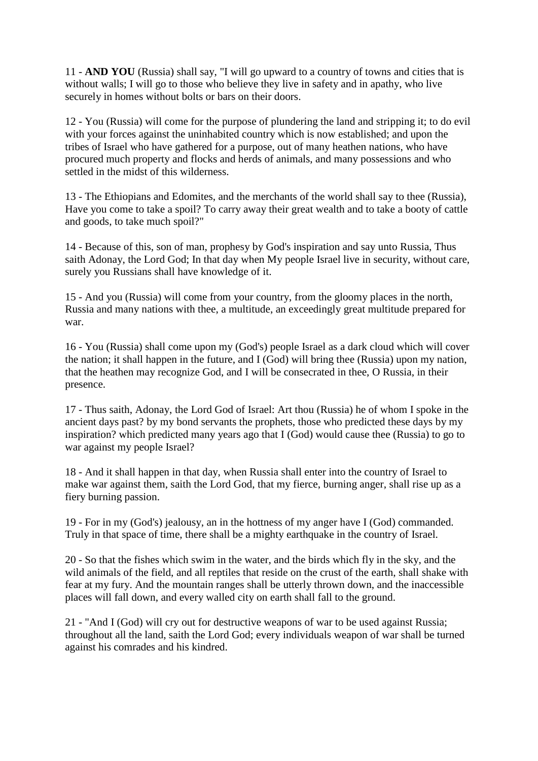11 - **AND YOU** (Russia) shall say, "I will go upward to a country of towns and cities that is without walls; I will go to those who believe they live in safety and in apathy, who live securely in homes without bolts or bars on their doors.

12 - You (Russia) will come for the purpose of plundering the land and stripping it; to do evil with your forces against the uninhabited country which is now established; and upon the tribes of Israel who have gathered for a purpose, out of many heathen nations, who have procured much property and flocks and herds of animals, and many possessions and who settled in the midst of this wilderness.

13 - The Ethiopians and Edomites, and the merchants of the world shall say to thee (Russia), Have you come to take a spoil? To carry away their great wealth and to take a booty of cattle and goods, to take much spoil?"

14 - Because of this, son of man, prophesy by God's inspiration and say unto Russia, Thus saith Adonay, the Lord God; In that day when My people Israel live in security, without care, surely you Russians shall have knowledge of it.

15 - And you (Russia) will come from your country, from the gloomy places in the north, Russia and many nations with thee, a multitude, an exceedingly great multitude prepared for war.

16 - You (Russia) shall come upon my (God's) people Israel as a dark cloud which will cover the nation; it shall happen in the future, and I (God) will bring thee (Russia) upon my nation, that the heathen may recognize God, and I will be consecrated in thee, O Russia, in their presence.

17 - Thus saith, Adonay, the Lord God of Israel: Art thou (Russia) he of whom I spoke in the ancient days past? by my bond servants the prophets, those who predicted these days by my inspiration? which predicted many years ago that I (God) would cause thee (Russia) to go to war against my people Israel?

18 - And it shall happen in that day, when Russia shall enter into the country of Israel to make war against them, saith the Lord God, that my fierce, burning anger, shall rise up as a fiery burning passion.

19 - For in my (God's) jealousy, an in the hottness of my anger have I (God) commanded. Truly in that space of time, there shall be a mighty earthquake in the country of Israel.

20 - So that the fishes which swim in the water, and the birds which fly in the sky, and the wild animals of the field, and all reptiles that reside on the crust of the earth, shall shake with fear at my fury. And the mountain ranges shall be utterly thrown down, and the inaccessible places will fall down, and every walled city on earth shall fall to the ground.

21 - "And I (God) will cry out for destructive weapons of war to be used against Russia; throughout all the land, saith the Lord God; every individuals weapon of war shall be turned against his comrades and his kindred.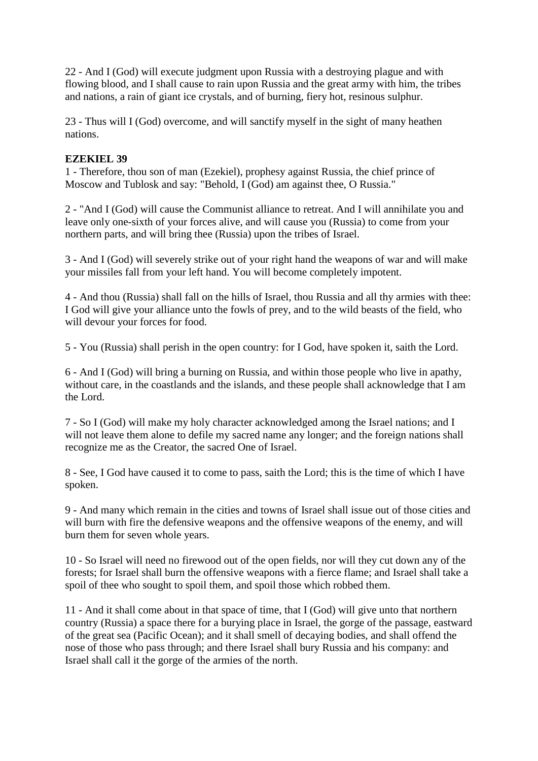22 - And I (God) will execute judgment upon Russia with a destroying plague and with flowing blood, and I shall cause to rain upon Russia and the great army with him, the tribes and nations, a rain of giant ice crystals, and of burning, fiery hot, resinous sulphur.

23 - Thus will I (God) overcome, and will sanctify myself in the sight of many heathen nations.

## **EZEKIEL 39**

1 - Therefore, thou son of man (Ezekiel), prophesy against Russia, the chief prince of Moscow and Tublosk and say: "Behold, I (God) am against thee, O Russia."

2 - "And I (God) will cause the Communist alliance to retreat. And I will annihilate you and leave only one-sixth of your forces alive, and will cause you (Russia) to come from your northern parts, and will bring thee (Russia) upon the tribes of Israel.

3 - And I (God) will severely strike out of your right hand the weapons of war and will make your missiles fall from your left hand. You will become completely impotent.

4 - And thou (Russia) shall fall on the hills of Israel, thou Russia and all thy armies with thee: I God will give your alliance unto the fowls of prey, and to the wild beasts of the field, who will devour your forces for food.

5 - You (Russia) shall perish in the open country: for I God, have spoken it, saith the Lord.

6 - And I (God) will bring a burning on Russia, and within those people who live in apathy, without care, in the coastlands and the islands, and these people shall acknowledge that I am the Lord.

7 - So I (God) will make my holy character acknowledged among the Israel nations; and I will not leave them alone to defile my sacred name any longer; and the foreign nations shall recognize me as the Creator, the sacred One of Israel.

8 - See, I God have caused it to come to pass, saith the Lord; this is the time of which I have spoken.

9 - And many which remain in the cities and towns of Israel shall issue out of those cities and will burn with fire the defensive weapons and the offensive weapons of the enemy, and will burn them for seven whole years.

10 - So Israel will need no firewood out of the open fields, nor will they cut down any of the forests; for Israel shall burn the offensive weapons with a fierce flame; and Israel shall take a spoil of thee who sought to spoil them, and spoil those which robbed them.

11 - And it shall come about in that space of time, that I (God) will give unto that northern country (Russia) a space there for a burying place in Israel, the gorge of the passage, eastward of the great sea (Pacific Ocean); and it shall smell of decaying bodies, and shall offend the nose of those who pass through; and there Israel shall bury Russia and his company: and Israel shall call it the gorge of the armies of the north.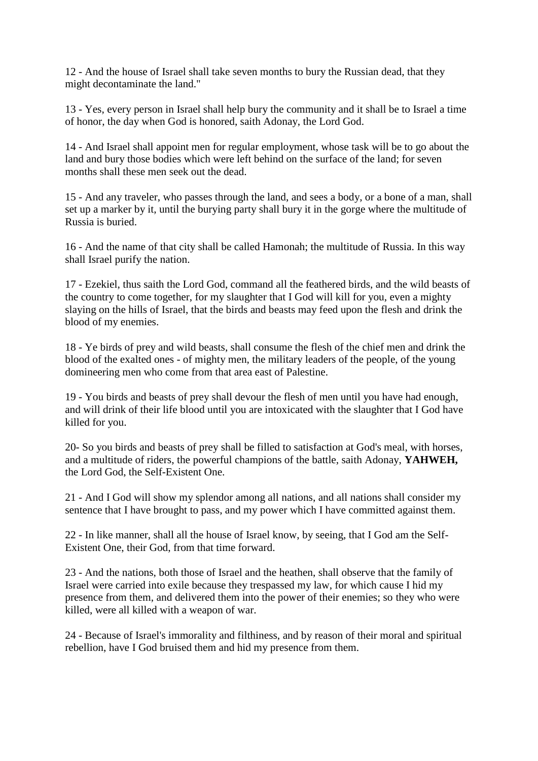12 - And the house of Israel shall take seven months to bury the Russian dead, that they might decontaminate the land."

13 - Yes, every person in Israel shall help bury the community and it shall be to Israel a time of honor, the day when God is honored, saith Adonay, the Lord God.

14 - And Israel shall appoint men for regular employment, whose task will be to go about the land and bury those bodies which were left behind on the surface of the land; for seven months shall these men seek out the dead.

15 - And any traveler, who passes through the land, and sees a body, or a bone of a man, shall set up a marker by it, until the burying party shall bury it in the gorge where the multitude of Russia is buried.

16 - And the name of that city shall be called Hamonah; the multitude of Russia. In this way shall Israel purify the nation.

17 - Ezekiel, thus saith the Lord God, command all the feathered birds, and the wild beasts of the country to come together, for my slaughter that I God will kill for you, even a mighty slaying on the hills of Israel, that the birds and beasts may feed upon the flesh and drink the blood of my enemies.

18 - Ye birds of prey and wild beasts, shall consume the flesh of the chief men and drink the blood of the exalted ones - of mighty men, the military leaders of the people, of the young domineering men who come from that area east of Palestine.

19 - You birds and beasts of prey shall devour the flesh of men until you have had enough, and will drink of their life blood until you are intoxicated with the slaughter that I God have killed for you.

20- So you birds and beasts of prey shall be filled to satisfaction at God's meal, with horses, and a multitude of riders, the powerful champions of the battle, saith Adonay, **YAHWEH,** the Lord God, the Self-Existent One.

21 - And I God will show my splendor among all nations, and all nations shall consider my sentence that I have brought to pass, and my power which I have committed against them.

22 - In like manner, shall all the house of Israel know, by seeing, that I God am the Self-Existent One, their God, from that time forward.

23 - And the nations, both those of Israel and the heathen, shall observe that the family of Israel were carried into exile because they trespassed my law, for which cause I hid my presence from them, and delivered them into the power of their enemies; so they who were killed, were all killed with a weapon of war.

24 - Because of Israel's immorality and filthiness, and by reason of their moral and spiritual rebellion, have I God bruised them and hid my presence from them.